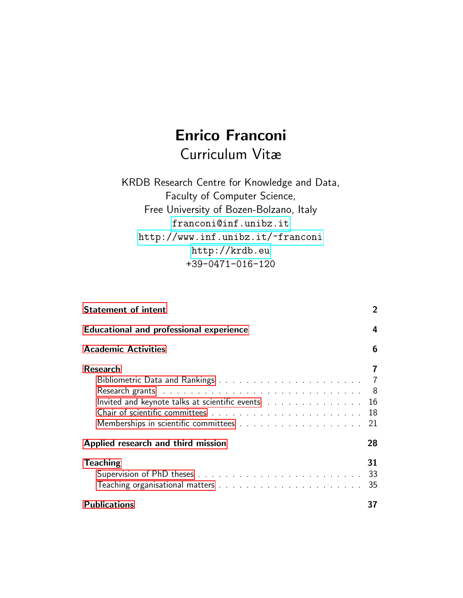# Enrico Franconi Curriculum Vitæ

KRDB Research Centre for Knowledge and Data, Faculty of Computer Science, Free University of Bozen-Bolzano, Italy <franconi@inf.unibz.it> <http://www.inf.unibz.it/~franconi> <http://krdb.eu> +39-0471-016-120

| <b>Statement of intent</b>                                                                               | $\overline{2}$ |  |  |  |  |
|----------------------------------------------------------------------------------------------------------|----------------|--|--|--|--|
| <b>Educational and professional experience</b>                                                           |                |  |  |  |  |
| <b>Academic Activities</b>                                                                               | 6              |  |  |  |  |
| <b>Research</b>                                                                                          | 7              |  |  |  |  |
|                                                                                                          | $\overline{7}$ |  |  |  |  |
| Research grants and a subsequently and a subsequently set of the set of the Research set of the Research | - 8            |  |  |  |  |
| Invited and keynote talks at scientific events $\ldots$                                                  | 16             |  |  |  |  |
|                                                                                                          | 18             |  |  |  |  |
|                                                                                                          | 21             |  |  |  |  |
| Applied research and third mission                                                                       | 28             |  |  |  |  |
| <b>Teaching</b>                                                                                          | 31             |  |  |  |  |
|                                                                                                          |                |  |  |  |  |
|                                                                                                          | 35             |  |  |  |  |
| <b>Publications</b>                                                                                      | 37             |  |  |  |  |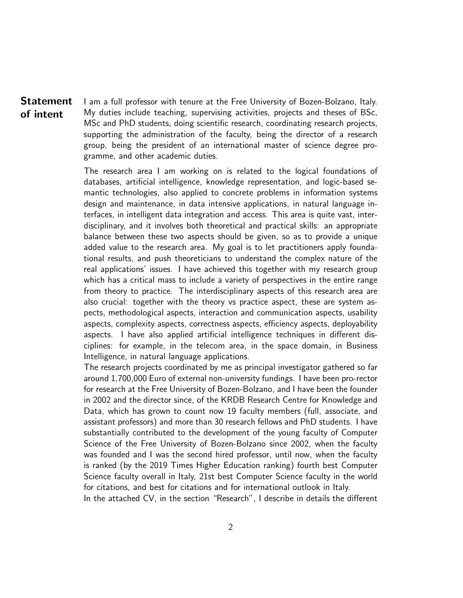<span id="page-1-0"></span>Statement of intent I am a full professor with tenure at the Free University of Bozen-Bolzano, Italy. My duties include teaching, supervising activities, projects and theses of BSc, MSc and PhD students, doing scientific research, coordinating research projects, supporting the administration of the faculty, being the director of a research group, being the president of an international master of science degree programme, and other academic duties.

> The research area I am working on is related to the logical foundations of databases, artificial intelligence, knowledge representation, and logic-based semantic technologies, also applied to concrete problems in information systems design and maintenance, in data intensive applications, in natural language interfaces, in intelligent data integration and access. This area is quite vast, interdisciplinary, and it involves both theoretical and practical skills: an appropriate balance between these two aspects should be given, so as to provide a unique added value to the research area. My goal is to let practitioners apply foundational results, and push theoreticians to understand the complex nature of the real applications' issues. I have achieved this together with my research group which has a critical mass to include a variety of perspectives in the entire range from theory to practice. The interdisciplinary aspects of this research area are also crucial: together with the theory vs practice aspect, these are system aspects, methodological aspects, interaction and communication aspects, usability aspects, complexity aspects, correctness aspects, efficiency aspects, deployability aspects. I have also applied artificial intelligence techniques in different disciplines: for example, in the telecom area, in the space domain, in Business Intelligence, in natural language applications.

> The research projects coordinated by me as principal investigator gathered so far around 1,700,000 Euro of external non-university fundings. I have been pro-rector for research at the Free University of Bozen-Bolzano, and I have been the founder in 2002 and the director since, of the KRDB Research Centre for Knowledge and Data, which has grown to count now 19 faculty members (full, associate, and assistant professors) and more than 30 research fellows and PhD students. I have substantially contributed to the development of the young faculty of Computer Science of the Free University of Bozen-Bolzano since 2002, when the faculty was founded and I was the second hired professor, until now, when the faculty is ranked (by the 2019 Times Higher Education ranking) fourth best Computer Science faculty overall in Italy, 21st best Computer Science faculty in the world for citations, and best for citations and for international outlook in Italy.

> In the attached CV, in the section "Research", I describe in details the different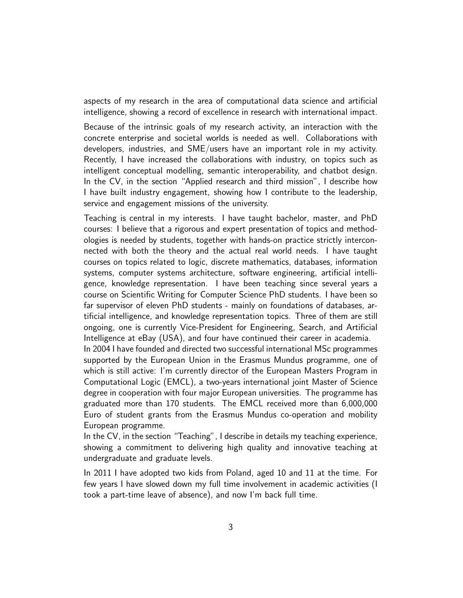aspects of my research in the area of computational data science and artificial intelligence, showing a record of excellence in research with international impact.

Because of the intrinsic goals of my research activity, an interaction with the concrete enterprise and societal worlds is needed as well. Collaborations with developers, industries, and SME/users have an important role in my activity. Recently, I have increased the collaborations with industry, on topics such as intelligent conceptual modelling, semantic interoperability, and chatbot design. In the CV, in the section "Applied research and third mission", I describe how I have built industry engagement, showing how I contribute to the leadership, service and engagement missions of the university.

Teaching is central in my interests. I have taught bachelor, master, and PhD courses: I believe that a rigorous and expert presentation of topics and methodologies is needed by students, together with hands-on practice strictly interconnected with both the theory and the actual real world needs. I have taught courses on topics related to logic, discrete mathematics, databases, information systems, computer systems architecture, software engineering, artificial intelligence, knowledge representation. I have been teaching since several years a course on Scientific Writing for Computer Science PhD students. I have been so far supervisor of eleven PhD students - mainly on foundations of databases, artificial intelligence, and knowledge representation topics. Three of them are still ongoing, one is currently Vice-President for Engineering, Search, and Artificial Intelligence at eBay (USA), and four have continued their career in academia.

In 2004 I have founded and directed two successful international MSc programmes supported by the European Union in the Erasmus Mundus programme, one of which is still active: I'm currently director of the European Masters Program in Computational Logic (EMCL), a two-years international joint Master of Science degree in cooperation with four major European universities. The programme has graduated more than 170 students. The EMCL received more than 6,000,000 Euro of student grants from the Erasmus Mundus co-operation and mobility European programme.

In the CV, in the section "Teaching", I describe in details my teaching experience, showing a commitment to delivering high quality and innovative teaching at undergraduate and graduate levels.

In 2011 I have adopted two kids from Poland, aged 10 and 11 at the time. For few years I have slowed down my full time involvement in academic activities (I took a part-time leave of absence), and now I'm back full time.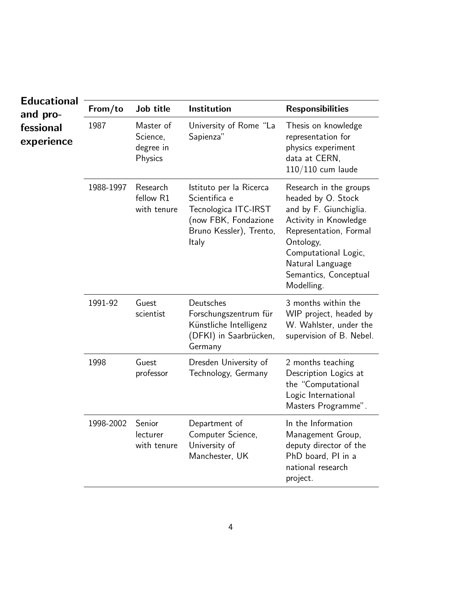<span id="page-3-0"></span>

| <b>Educational</b>                  |           |                                               |                                                                                                                              |                                                                                                                                                                                                                           |
|-------------------------------------|-----------|-----------------------------------------------|------------------------------------------------------------------------------------------------------------------------------|---------------------------------------------------------------------------------------------------------------------------------------------------------------------------------------------------------------------------|
| and pro-<br>fessional<br>experience | From/to   | Job title                                     | Institution                                                                                                                  | <b>Responsibilities</b>                                                                                                                                                                                                   |
|                                     | 1987      | Master of<br>Science,<br>degree in<br>Physics | University of Rome "La<br>Sapienza"                                                                                          | Thesis on knowledge<br>representation for<br>physics experiment<br>data at CERN,<br>$110/110$ cum laude                                                                                                                   |
|                                     | 1988-1997 | Research<br>fellow R1<br>with tenure          | Istituto per la Ricerca<br>Scientifica e<br>Tecnologica ITC-IRST<br>(now FBK, Fondazione<br>Bruno Kessler), Trento,<br>Italy | Research in the groups<br>headed by O. Stock<br>and by F. Giunchiglia.<br>Activity in Knowledge<br>Representation, Formal<br>Ontology,<br>Computational Logic,<br>Natural Language<br>Semantics, Conceptual<br>Modelling. |
|                                     | 1991-92   | Guest<br>scientist                            | Deutsches<br>Forschungszentrum für<br>Künstliche Intelligenz<br>(DFKI) in Saarbrücken,<br>Germany                            | 3 months within the<br>WIP project, headed by<br>W. Wahlster, under the<br>supervision of B. Nebel.                                                                                                                       |
|                                     | 1998      | Guest<br>professor                            | Dresden University of<br>Technology, Germany                                                                                 | 2 months teaching<br>Description Logics at<br>the "Computational<br>Logic International<br>Masters Programme".                                                                                                            |
|                                     | 1998-2002 | Senior<br>lecturer<br>with tenure             | Department of<br>Computer Science,<br>University of<br>Manchester, UK                                                        | In the Information<br>Management Group,<br>deputy director of the<br>PhD board, PI in a<br>national research<br>project.                                                                                                  |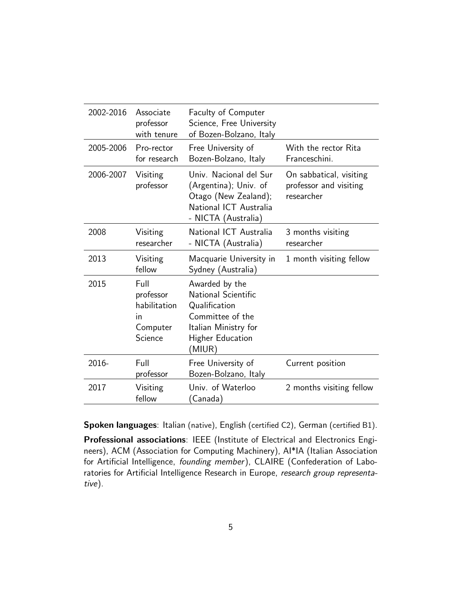| 2002-2016 | Associate<br>professor<br>with tenure                          | <b>Faculty of Computer</b><br>Science, Free University<br>of Bozen-Bolzano, Italy                                                              |                                                                 |
|-----------|----------------------------------------------------------------|------------------------------------------------------------------------------------------------------------------------------------------------|-----------------------------------------------------------------|
| 2005-2006 | Pro-rector<br>for research                                     | Free University of<br>Bozen-Bolzano, Italy                                                                                                     | With the rector Rita<br>Franceschini.                           |
| 2006-2007 | Visiting<br>professor                                          | Univ. Nacional del Sur<br>(Argentina); Univ. of<br>Otago (New Zealand);<br>National ICT Australia<br>- NICTA (Australia)                       | On sabbatical, visiting<br>professor and visiting<br>researcher |
| 2008      | Visiting<br>researcher                                         | National ICT Australia<br>- NICTA (Australia)                                                                                                  | 3 months visiting<br>researcher                                 |
| 2013      | Visiting<br>fellow                                             | Macquarie University in<br>Sydney (Australia)                                                                                                  | 1 month visiting fellow                                         |
| 2015      | Full<br>professor<br>habilitation<br>ın<br>Computer<br>Science | Awarded by the<br><b>National Scientific</b><br>Qualification<br>Committee of the<br>Italian Ministry for<br><b>Higher Education</b><br>(MIUR) |                                                                 |
| 2016-     | Full<br>professor                                              | Free University of<br>Bozen-Bolzano, Italy                                                                                                     | Current position                                                |
| 2017      | Visiting<br>fellow                                             | Univ. of Waterloo<br>(Canada)                                                                                                                  | 2 months visiting fellow                                        |

Spoken languages: Italian (native), English (certified C2), German (certified B1).

Professional associations: IEEE (Institute of Electrical and Electronics Engineers), ACM (Association for Computing Machinery), AI\*IA (Italian Association for Artificial Intelligence, founding member), CLAIRE (Confederation of Laboratories for Artificial Intelligence Research in Europe, research group representative).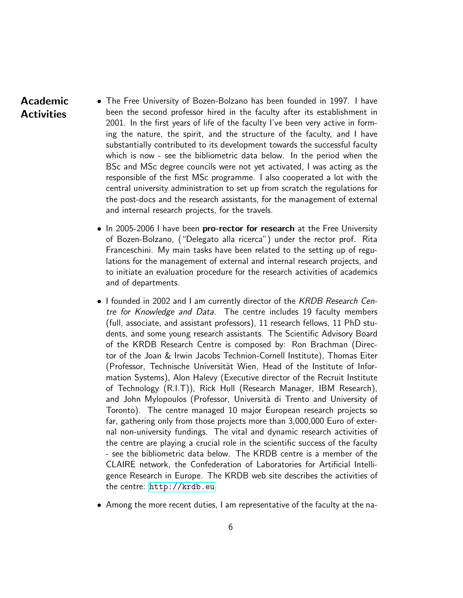# Academic **Activities**

- <span id="page-5-0"></span>• The Free University of Bozen-Bolzano has been founded in 1997. I have been the second professor hired in the faculty after its establishment in 2001. In the first years of life of the faculty I've been very active in forming the nature, the spirit, and the structure of the faculty, and I have substantially contributed to its development towards the successful faculty which is now - see the bibliometric data below. In the period when the BSc and MSc degree councils were not yet activated, I was acting as the responsible of the first MSc programme. I also cooperated a lot with the central university administration to set up from scratch the regulations for the post-docs and the research assistants, for the management of external and internal research projects, for the travels.
	- In 2005-2006 I have been pro-rector for research at the Free University of Bozen-Bolzano, ("Delegato alla ricerca") under the rector prof. Rita Franceschini. My main tasks have been related to the setting up of regulations for the management of external and internal research projects, and to initiate an evaluation procedure for the research activities of academics and of departments.
	- I founded in 2002 and I am currently director of the KRDB Research Centre for Knowledge and Data. The centre includes 19 faculty members (full, associate, and assistant professors), 11 research fellows, 11 PhD students, and some young research assistants. The Scientific Advisory Board of the KRDB Research Centre is composed by: Ron Brachman (Director of the Joan & Irwin Jacobs Technion-Cornell Institute), Thomas Eiter (Professor, Technische Universität Wien, Head of the Institute of Information Systems), Alon Halevy (Executive director of the Recruit Institute of Technology (R.I.T)), Rick Hull (Research Manager, IBM Research), and John Mylopoulos (Professor, Università di Trento and University of Toronto). The centre managed 10 major European research projects so far, gathering only from those projects more than 3,000,000 Euro of external non-university fundings. The vital and dynamic research activities of the centre are playing a crucial role in the scientific success of the faculty - see the bibliometric data below. The KRDB centre is a member of the CLAIRE network, the Confederation of Laboratories for Artificial Intelligence Research in Europe. The KRDB web site describes the activities of the centre: <http://krdb.eu>
	- Among the more recent duties, I am representative of the faculty at the na-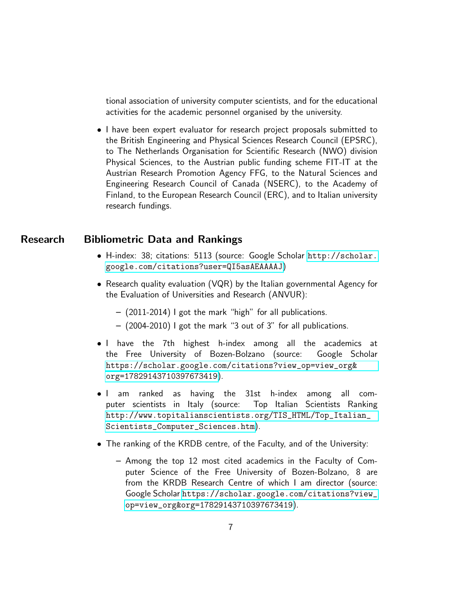tional association of university computer scientists, and for the educational activities for the academic personnel organised by the university.

• I have been expert evaluator for research project proposals submitted to the British Engineering and Physical Sciences Research Council (EPSRC), to The Netherlands Organisation for Scientific Research (NWO) division Physical Sciences, to the Austrian public funding scheme FIT-IT at the Austrian Research Promotion Agency FFG, to the Natural Sciences and Engineering Research Council of Canada (NSERC), to the Academy of Finland, to the European Research Council (ERC), and to Italian university research fundings.

#### Research Bibliometric Data and Rankings

- <span id="page-6-1"></span><span id="page-6-0"></span>• H-index: 38; citations: 5113 (source: Google Scholar [http://scholar.](http://scholar.google.com/citations?user=QI5asAEAAAAJ) [google.com/citations?user=QI5asAEAAAAJ](http://scholar.google.com/citations?user=QI5asAEAAAAJ))
- Research quality evaluation (VQR) by the Italian governmental Agency for the Evaluation of Universities and Research (ANVUR):
	- (2011-2014) I got the mark "high" for all publications.
	- (2004-2010) I got the mark "3 out of 3" for all publications.
- I have the 7th highest h-index among all the academics at the Free University of Bozen-Bolzano (source: Google Scholar [https://scholar.google.com/citations?view\\_op=view\\_org&](https://scholar.google.com/citations?view_op=view_org&org=17829143710397673419) [org=17829143710397673419](https://scholar.google.com/citations?view_op=view_org&org=17829143710397673419)).
- I am ranked as having the 31st h-index among all computer scientists in Italy (source: Top Italian Scientists Ranking [http://www.topitalianscientists.org/TIS\\_HTML/Top\\_Italian\\_](http://www.topitalianscientists.org/TIS_HTML/Top_Italian_Scientists_Computer_Sciences.htm) [Scientists\\_Computer\\_Sciences.htm](http://www.topitalianscientists.org/TIS_HTML/Top_Italian_Scientists_Computer_Sciences.htm)).
- The ranking of the KRDB centre, of the Faculty, and of the University:
	- Among the top 12 most cited academics in the Faculty of Computer Science of the Free University of Bozen-Bolzano, 8 are from the KRDB Research Centre of which I am director (source: Google Scholar [https://scholar.google.com/citations?view\\_](https://scholar.google.com/citations?view_op=view_org&org=17829143710397673419) [op=view\\_org&org=17829143710397673419](https://scholar.google.com/citations?view_op=view_org&org=17829143710397673419)).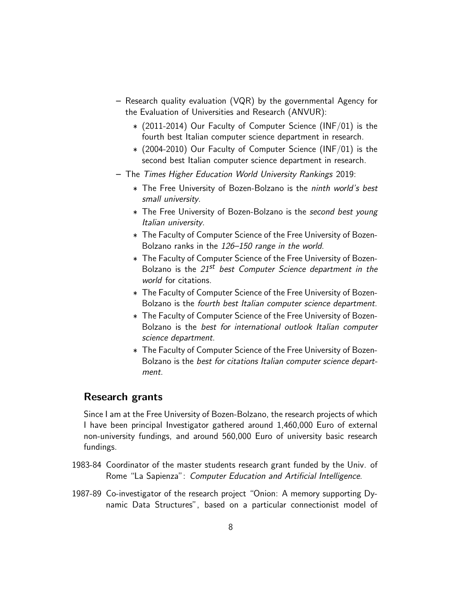- Research quality evaluation (VQR) by the governmental Agency for the Evaluation of Universities and Research (ANVUR):
	- ∗ (2011-2014) Our Faculty of Computer Science (INF/01) is the fourth best Italian computer science department in research.
	- ∗ (2004-2010) Our Faculty of Computer Science (INF/01) is the second best Italian computer science department in research.
- The Times Higher Education World University Rankings 2019:
	- ∗ The Free University of Bozen-Bolzano is the ninth world's best small university.
	- ∗ The Free University of Bozen-Bolzano is the second best young Italian university.
	- ∗ The Faculty of Computer Science of the Free University of Bozen-Bolzano ranks in the 126–150 range in the world.
	- ∗ The Faculty of Computer Science of the Free University of Bozen-Bolzano is the  $21^{st}$  best Computer Science department in the world for citations.
	- ∗ The Faculty of Computer Science of the Free University of Bozen-Bolzano is the fourth best Italian computer science department.
	- ∗ The Faculty of Computer Science of the Free University of Bozen-Bolzano is the best for international outlook Italian computer science department.
	- ∗ The Faculty of Computer Science of the Free University of Bozen-Bolzano is the best for citations Italian computer science department.

# <span id="page-7-0"></span>Research grants

Since I am at the Free University of Bozen-Bolzano, the research projects of which I have been principal Investigator gathered around 1,460,000 Euro of external non-university fundings, and around 560,000 Euro of university basic research fundings.

- 1983-84 Coordinator of the master students research grant funded by the Univ. of Rome "La Sapienza": Computer Education and Artificial Intelligence.
- 1987-89 Co-investigator of the research project "Onion: A memory supporting Dynamic Data Structures", based on a particular connectionist model of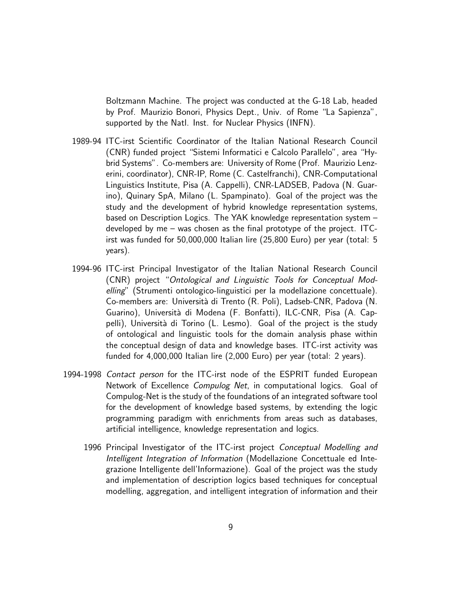Boltzmann Machine. The project was conducted at the G-18 Lab, headed by Prof. Maurizio Bonori, Physics Dept., Univ. of Rome "La Sapienza", supported by the Natl. Inst. for Nuclear Physics (INFN).

- 1989-94 ITC-irst Scientific Coordinator of the Italian National Research Council (CNR) funded project "Sistemi Informatici e Calcolo Parallelo", area "Hybrid Systems". Co-members are: University of Rome (Prof. Maurizio Lenzerini, coordinator), CNR-IP, Rome (C. Castelfranchi), CNR-Computational Linguistics Institute, Pisa (A. Cappelli), CNR-LADSEB, Padova (N. Guarino), Quinary SpA, Milano (L. Spampinato). Goal of the project was the study and the development of hybrid knowledge representation systems, based on Description Logics. The YAK knowledge representation system – developed by me – was chosen as the final prototype of the project. ITCirst was funded for 50,000,000 Italian lire (25,800 Euro) per year (total: 5 years).
- 1994-96 ITC-irst Principal Investigator of the Italian National Research Council (CNR) project "Ontological and Linguistic Tools for Conceptual Modelling" (Strumenti ontologico-linguistici per la modellazione concettuale). Co-members are: Università di Trento (R. Poli), Ladseb-CNR, Padova (N. Guarino), Università di Modena (F. Bonfatti), ILC-CNR, Pisa (A. Cappelli), Università di Torino (L. Lesmo). Goal of the project is the study of ontological and linguistic tools for the domain analysis phase within the conceptual design of data and knowledge bases. ITC-irst activity was funded for 4,000,000 Italian lire (2,000 Euro) per year (total: 2 years).
- 1994-1998 Contact person for the ITC-irst node of the ESPRIT funded European Network of Excellence Compulog Net, in computational logics. Goal of Compulog-Net is the study of the foundations of an integrated software tool for the development of knowledge based systems, by extending the logic programming paradigm with enrichments from areas such as databases, artificial intelligence, knowledge representation and logics.
	- 1996 Principal Investigator of the ITC-irst project Conceptual Modelling and Intelligent Integration of Information (Modellazione Concettuale ed Integrazione Intelligente dell'Informazione). Goal of the project was the study and implementation of description logics based techniques for conceptual modelling, aggregation, and intelligent integration of information and their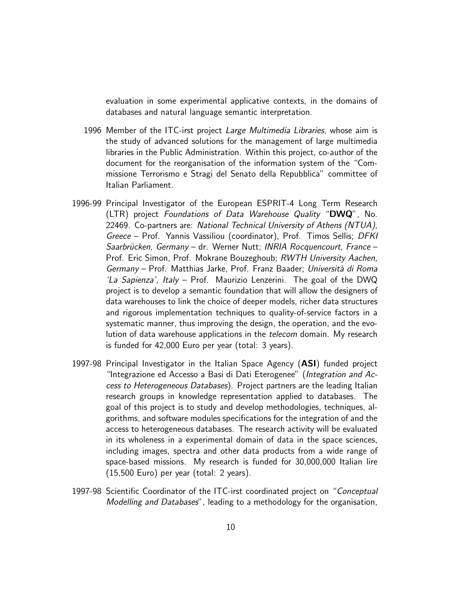evaluation in some experimental applicative contexts, in the domains of databases and natural language semantic interpretation.

- 1996 Member of the ITC-irst project Large Multimedia Libraries, whose aim is the study of advanced solutions for the management of large multimedia libraries in the Public Administration. Within this project, co-author of the document for the reorganisation of the information system of the "Commissione Terrorismo e Stragi del Senato della Repubblica" committee of Italian Parliament.
- 1996-99 Principal Investigator of the European ESPRIT-4 Long Term Research (LTR) project Foundations of Data Warehouse Quality "DWQ", No. 22469. Co-partners are: National Technical University of Athens (NTUA), Greece – Prof. Yannis Vassiliou (coordinator), Prof. Timos Sellis; DFKI Saarbrücken, Germany – dr. Werner Nutt; INRIA Rocquencourt, France – Prof. Eric Simon, Prof. Mokrane Bouzeghoub; RWTH University Aachen, Germany – Prof. Matthias Jarke, Prof. Franz Baader; Università di Roma 'La Sapienza', Italy – Prof. Maurizio Lenzerini. The goal of the DWQ project is to develop a semantic foundation that will allow the designers of data warehouses to link the choice of deeper models, richer data structures and rigorous implementation techniques to quality-of-service factors in a systematic manner, thus improving the design, the operation, and the evolution of data warehouse applications in the *telecom* domain. My research is funded for 42,000 Euro per year (total: 3 years).
- 1997-98 Principal Investigator in the Italian Space Agency (ASI) funded project "Integrazione ed Accesso a Basi di Dati Eterogenee" (Integration and Access to Heterogeneous Databases). Project partners are the leading Italian research groups in knowledge representation applied to databases. The goal of this project is to study and develop methodologies, techniques, algorithms, and software modules specifications for the integration of and the access to heterogeneous databases. The research activity will be evaluated in its wholeness in a experimental domain of data in the space sciences, including images, spectra and other data products from a wide range of space-based missions. My research is funded for 30,000,000 Italian lire (15,500 Euro) per year (total: 2 years).
- 1997-98 Scientific Coordinator of the ITC-irst coordinated project on "Conceptual Modelling and Databases", leading to a methodology for the organisation,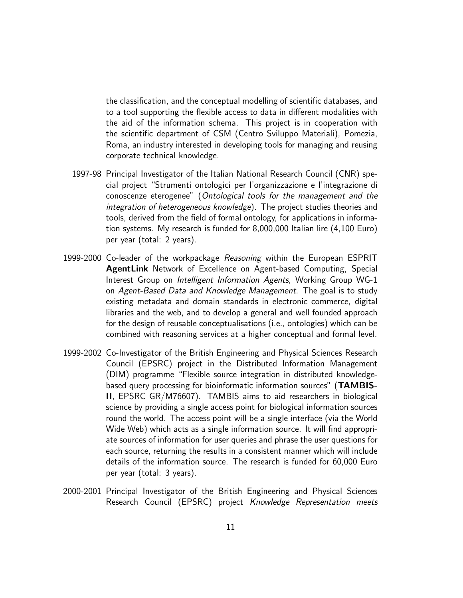the classification, and the conceptual modelling of scientific databases, and to a tool supporting the flexible access to data in different modalities with the aid of the information schema. This project is in cooperation with the scientific department of CSM (Centro Sviluppo Materiali), Pomezia, Roma, an industry interested in developing tools for managing and reusing corporate technical knowledge.

- 1997-98 Principal Investigator of the Italian National Research Council (CNR) special project "Strumenti ontologici per l'organizzazione e l'integrazione di conoscenze eterogenee" (Ontological tools for the management and the integration of heterogeneous knowledge). The project studies theories and tools, derived from the field of formal ontology, for applications in information systems. My research is funded for 8,000,000 Italian lire (4,100 Euro) per year (total: 2 years).
- 1999-2000 Co-leader of the workpackage Reasoning within the European ESPRIT AgentLink Network of Excellence on Agent-based Computing, Special Interest Group on Intelligent Information Agents, Working Group WG-1 on Agent-Based Data and Knowledge Management. The goal is to study existing metadata and domain standards in electronic commerce, digital libraries and the web, and to develop a general and well founded approach for the design of reusable conceptualisations (i.e., ontologies) which can be combined with reasoning services at a higher conceptual and formal level.
- 1999-2002 Co-Investigator of the British Engineering and Physical Sciences Research Council (EPSRC) project in the Distributed Information Management (DIM) programme "Flexible source integration in distributed knowledgebased query processing for bioinformatic information sources" (TAMBIS-II, EPSRC GR/M76607). TAMBIS aims to aid researchers in biological science by providing a single access point for biological information sources round the world. The access point will be a single interface (via the World Wide Web) which acts as a single information source. It will find appropriate sources of information for user queries and phrase the user questions for each source, returning the results in a consistent manner which will include details of the information source. The research is funded for 60,000 Euro per year (total: 3 years).
- 2000-2001 Principal Investigator of the British Engineering and Physical Sciences Research Council (EPSRC) project Knowledge Representation meets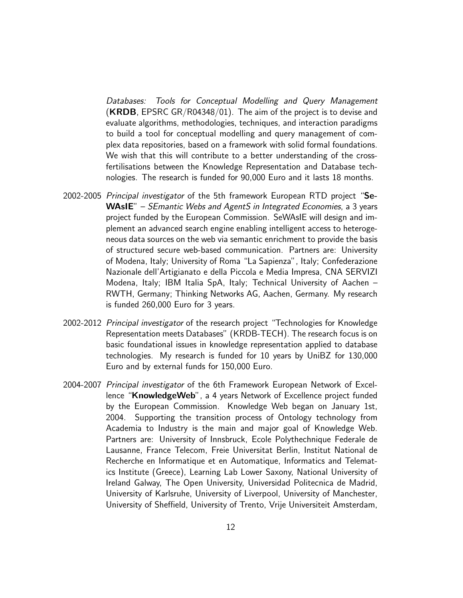Databases: Tools for Conceptual Modelling and Query Management  $(KRDB, EPSRC GR/R04348/01)$ . The aim of the project is to devise and evaluate algorithms, methodologies, techniques, and interaction paradigms to build a tool for conceptual modelling and query management of complex data repositories, based on a framework with solid formal foundations. We wish that this will contribute to a better understanding of the crossfertilisations between the Knowledge Representation and Database technologies. The research is funded for 90,000 Euro and it lasts 18 months.

- 2002-2005 *Principal investigator* of the 5th framework European RTD project "Se-WAsIE" – *SEmantic Webs and AgentS in Integrated Economies*, a 3 years project funded by the European Commission. SeWAsIE will design and implement an advanced search engine enabling intelligent access to heterogeneous data sources on the web via semantic enrichment to provide the basis of structured secure web-based communication. Partners are: University of Modena, Italy; University of Roma "La Sapienza", Italy; Confederazione Nazionale dell'Artigianato e della Piccola e Media Impresa, CNA SERVIZI Modena, Italy; IBM Italia SpA, Italy; Technical University of Aachen – RWTH, Germany; Thinking Networks AG, Aachen, Germany. My research is funded 260,000 Euro for 3 years.
- 2002-2012 Principal investigator of the research project "Technologies for Knowledge Representation meets Databases" (KRDB-TECH). The research focus is on basic foundational issues in knowledge representation applied to database technologies. My research is funded for 10 years by UniBZ for 130,000 Euro and by external funds for 150,000 Euro.
- 2004-2007 Principal investigator of the 6th Framework European Network of Excellence "KnowledgeWeb", a 4 years Network of Excellence project funded by the European Commission. Knowledge Web began on January 1st, 2004. Supporting the transition process of Ontology technology from Academia to Industry is the main and major goal of Knowledge Web. Partners are: University of Innsbruck, Ecole Polythechnique Federale de Lausanne, France Telecom, Freie Universitat Berlin, Institut National de Recherche en Informatique et en Automatique, Informatics and Telematics Institute (Greece), Learning Lab Lower Saxony, National University of Ireland Galway, The Open University, Universidad Politecnica de Madrid, University of Karlsruhe, University of Liverpool, University of Manchester, University of Sheffield, University of Trento, Vrije Universiteit Amsterdam,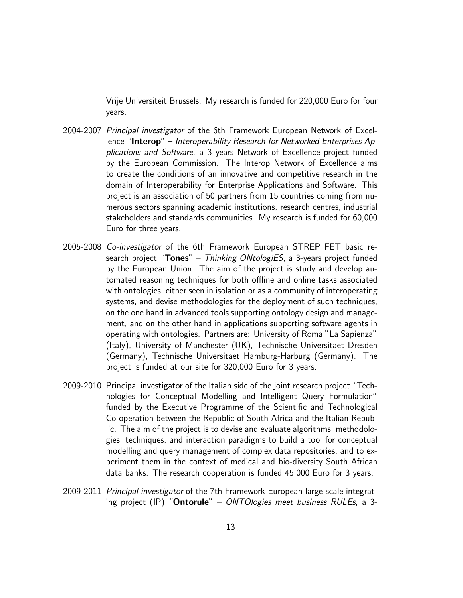Vrije Universiteit Brussels. My research is funded for 220,000 Euro for four years.

- 2004-2007 Principal investigator of the 6th Framework European Network of Excellence "Interop" – Interoperability Research for Networked Enterprises Applications and Software, a 3 years Network of Excellence project funded by the European Commission. The Interop Network of Excellence aims to create the conditions of an innovative and competitive research in the domain of Interoperability for Enterprise Applications and Software. This project is an association of 50 partners from 15 countries coming from numerous sectors spanning academic institutions, research centres, industrial stakeholders and standards communities. My research is funded for 60,000 Euro for three years.
- 2005-2008 Co-investigator of the 6th Framework European STREP FET basic research project "Tones" – Thinking ONtologiES, a 3-years project funded by the European Union. The aim of the project is study and develop automated reasoning techniques for both offline and online tasks associated with ontologies, either seen in isolation or as a community of interoperating systems, and devise methodologies for the deployment of such techniques, on the one hand in advanced tools supporting ontology design and management, and on the other hand in applications supporting software agents in operating with ontologies. Partners are: University of Roma "La Sapienza" (Italy), University of Manchester (UK), Technische Universitaet Dresden (Germany), Technische Universitaet Hamburg-Harburg (Germany). The project is funded at our site for 320,000 Euro for 3 years.
- 2009-2010 Principal investigator of the Italian side of the joint research project "Technologies for Conceptual Modelling and Intelligent Query Formulation" funded by the Executive Programme of the Scientific and Technological Co-operation between the Republic of South Africa and the Italian Republic. The aim of the project is to devise and evaluate algorithms, methodologies, techniques, and interaction paradigms to build a tool for conceptual modelling and query management of complex data repositories, and to experiment them in the context of medical and bio-diversity South African data banks. The research cooperation is funded 45,000 Euro for 3 years.
- 2009-2011 Principal investigator of the 7th Framework European large-scale integrating project (IP) "Ontorule" – ONTOlogies meet business RULEs, a 3-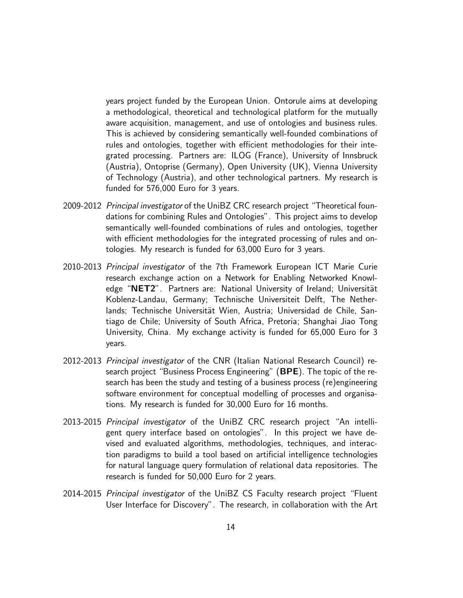years project funded by the European Union. Ontorule aims at developing a methodological, theoretical and technological platform for the mutually aware acquisition, management, and use of ontologies and business rules. This is achieved by considering semantically well-founded combinations of rules and ontologies, together with efficient methodologies for their integrated processing. Partners are: ILOG (France), University of Innsbruck (Austria), Ontoprise (Germany), Open University (UK), Vienna University of Technology (Austria), and other technological partners. My research is funded for 576,000 Euro for 3 years.

- 2009-2012 Principal investigator of the UniBZ CRC research project "Theoretical foundations for combining Rules and Ontologies". This project aims to develop semantically well-founded combinations of rules and ontologies, together with efficient methodologies for the integrated processing of rules and ontologies. My research is funded for 63,000 Euro for 3 years.
- 2010-2013 Principal investigator of the 7th Framework European ICT Marie Curie research exchange action on a Network for Enabling Networked Knowledge "NET2". Partners are: National University of Ireland; Universität Koblenz-Landau, Germany; Technische Universiteit Delft, The Netherlands; Technische Universität Wien, Austria; Universidad de Chile, Santiago de Chile; University of South Africa, Pretoria; Shanghai Jiao Tong University, China. My exchange activity is funded for 65,000 Euro for 3 years.
- 2012-2013 Principal investigator of the CNR (Italian National Research Council) research project "Business Process Engineering" (BPE). The topic of the research has been the study and testing of a business process (re)engineering software environment for conceptual modelling of processes and organisations. My research is funded for 30,000 Euro for 16 months.
- 2013-2015 Principal investigator of the UniBZ CRC research project "An intelligent query interface based on ontologies". In this project we have devised and evaluated algorithms, methodologies, techniques, and interaction paradigms to build a tool based on artificial intelligence technologies for natural language query formulation of relational data repositories. The research is funded for 50,000 Euro for 2 years.
- 2014-2015 Principal investigator of the UniBZ CS Faculty research project "Fluent User Interface for Discovery". The research, in collaboration with the Art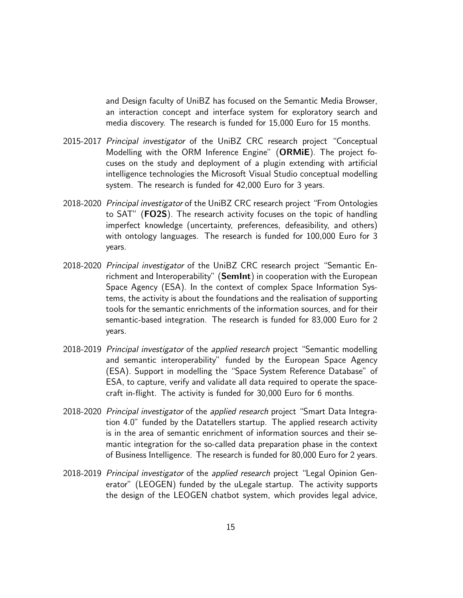and Design faculty of UniBZ has focused on the Semantic Media Browser, an interaction concept and interface system for exploratory search and media discovery. The research is funded for 15,000 Euro for 15 months.

- 2015-2017 Principal investigator of the UniBZ CRC research project "Conceptual Modelling with the ORM Inference Engine" (ORMiE). The project focuses on the study and deployment of a plugin extending with artificial intelligence technologies the Microsoft Visual Studio conceptual modelling system. The research is funded for 42,000 Euro for 3 years.
- 2018-2020 Principal investigator of the UniBZ CRC research project "From Ontologies to SAT" (FO2S). The research activity focuses on the topic of handling imperfect knowledge (uncertainty, preferences, defeasibility, and others) with ontology languages. The research is funded for 100,000 Euro for 3 years.
- 2018-2020 Principal investigator of the UniBZ CRC research project "Semantic Enrichment and Interoperability" (SemInt) in cooperation with the European Space Agency (ESA). In the context of complex Space Information Systems, the activity is about the foundations and the realisation of supporting tools for the semantic enrichments of the information sources, and for their semantic-based integration. The research is funded for 83,000 Euro for 2 years.
- 2018-2019 *Principal investigator* of the *applied research* project "Semantic modelling and semantic interoperability" funded by the European Space Agency (ESA). Support in modelling the "Space System Reference Database" of ESA, to capture, verify and validate all data required to operate the spacecraft in-flight. The activity is funded for 30,000 Euro for 6 months.
- 2018-2020 *Principal investigator* of the *applied research* project "Smart Data Integration 4.0" funded by the Datatellers startup. The applied research activity is in the area of semantic enrichment of information sources and their semantic integration for the so-called data preparation phase in the context of Business Intelligence. The research is funded for 80,000 Euro for 2 years.
- 2018-2019 Principal investigator of the applied research project "Legal Opinion Generator" (LEOGEN) funded by the uLegale startup. The activity supports the design of the LEOGEN chatbot system, which provides legal advice,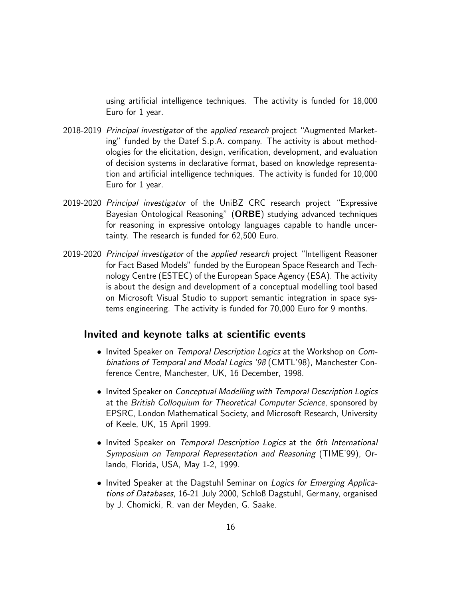using artificial intelligence techniques. The activity is funded for 18,000 Euro for 1 year.

- 2018-2019 Principal investigator of the applied research project "Augmented Marketing" funded by the Datef S.p.A. company. The activity is about methodologies for the elicitation, design, verification, development, and evaluation of decision systems in declarative format, based on knowledge representation and artificial intelligence techniques. The activity is funded for 10,000 Euro for 1 year.
- 2019-2020 Principal investigator of the UniBZ CRC research project "Expressive Bayesian Ontological Reasoning" (ORBE) studying advanced techniques for reasoning in expressive ontology languages capable to handle uncertainty. The research is funded for 62,500 Euro.
- 2019-2020 Principal investigator of the applied research project "Intelligent Reasoner for Fact Based Models" funded by the European Space Research and Technology Centre (ESTEC) of the European Space Agency (ESA). The activity is about the design and development of a conceptual modelling tool based on Microsoft Visual Studio to support semantic integration in space systems engineering. The activity is funded for 70,000 Euro for 9 months.

#### <span id="page-15-0"></span>Invited and keynote talks at scientific events

- Invited Speaker on Temporal Description Logics at the Workshop on Combinations of Temporal and Modal Logics '98 (CMTL'98), Manchester Conference Centre, Manchester, UK, 16 December, 1998.
- Invited Speaker on Conceptual Modelling with Temporal Description Logics at the British Colloquium for Theoretical Computer Science, sponsored by EPSRC, London Mathematical Society, and Microsoft Research, University of Keele, UK, 15 April 1999.
- Invited Speaker on Temporal Description Logics at the 6th International Symposium on Temporal Representation and Reasoning (TIME'99), Orlando, Florida, USA, May 1-2, 1999.
- Invited Speaker at the Dagstuhl Seminar on Logics for Emerging Applications of Databases, 16-21 July 2000, Schloß Dagstuhl, Germany, organised by J. Chomicki, R. van der Meyden, G. Saake.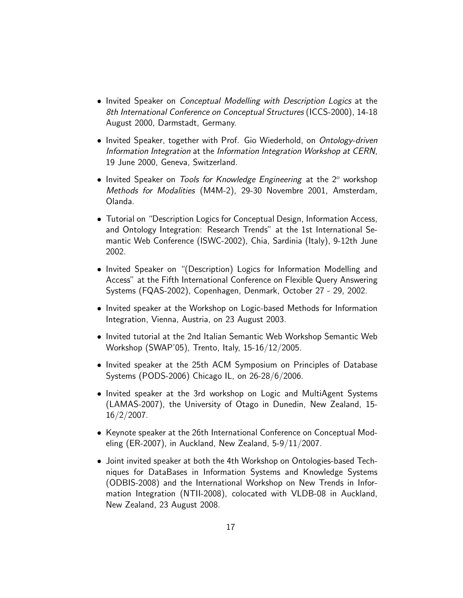- Invited Speaker on *Conceptual Modelling with Description Logics* at the 8th International Conference on Conceptual Structures (ICCS-2000), 14-18 August 2000, Darmstadt, Germany.
- Invited Speaker, together with Prof. Gio Wiederhold, on Ontology-driven Information Integration at the Information Integration Workshop at CERN, 19 June 2000, Geneva, Switzerland.
- Invited Speaker on Tools for Knowledge Engineering at the  $2^{\circ}$  workshop Methods for Modalities (M4M-2), 29-30 Novembre 2001, Amsterdam, Olanda.
- Tutorial on "Description Logics for Conceptual Design, Information Access, and Ontology Integration: Research Trends" at the 1st International Semantic Web Conference (ISWC-2002), Chia, Sardinia (Italy), 9-12th June 2002.
- Invited Speaker on "(Description) Logics for Information Modelling and Access" at the Fifth International Conference on Flexible Query Answering Systems (FQAS-2002), Copenhagen, Denmark, October 27 - 29, 2002.
- Invited speaker at the Workshop on Logic-based Methods for Information Integration, Vienna, Austria, on 23 August 2003.
- Invited tutorial at the 2nd Italian Semantic Web Workshop Semantic Web Workshop (SWAP'05), Trento, Italy, 15-16/12/2005.
- Invited speaker at the 25th ACM Symposium on Principles of Database Systems (PODS-2006) Chicago IL, on 26-28/6/2006.
- Invited speaker at the 3rd workshop on Logic and MultiAgent Systems (LAMAS-2007), the University of Otago in Dunedin, New Zealand, 15- 16/2/2007.
- Keynote speaker at the 26th International Conference on Conceptual Modeling (ER-2007), in Auckland, New Zealand, 5-9/11/2007.
- Joint invited speaker at both the 4th Workshop on Ontologies-based Techniques for DataBases in Information Systems and Knowledge Systems (ODBIS-2008) and the International Workshop on New Trends in Information Integration (NTII-2008), colocated with VLDB-08 in Auckland, New Zealand, 23 August 2008.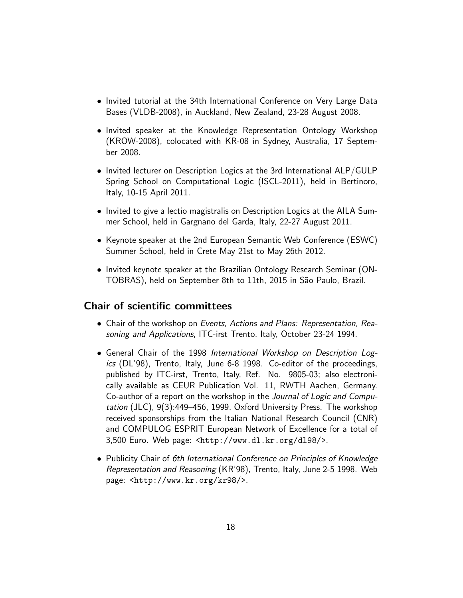- Invited tutorial at the 34th International Conference on Very Large Data Bases (VLDB-2008), in Auckland, New Zealand, 23-28 August 2008.
- Invited speaker at the Knowledge Representation Ontology Workshop (KROW-2008), colocated with KR-08 in Sydney, Australia, 17 September 2008.
- Invited lecturer on Description Logics at the 3rd International ALP/GULP Spring School on Computational Logic (ISCL-2011), held in Bertinoro, Italy, 10-15 April 2011.
- Invited to give a lectio magistralis on Description Logics at the AILA Summer School, held in Gargnano del Garda, Italy, 22-27 August 2011.
- Keynote speaker at the 2nd European Semantic Web Conference (ESWC) Summer School, held in Crete May 21st to May 26th 2012.
- Invited keynote speaker at the Brazilian Ontology Research Seminar (ON-TOBRAS), held on September 8th to 11th, 2015 in S˜ao Paulo, Brazil.

# <span id="page-17-0"></span>Chair of scientific committees

- Chair of the workshop on Events, Actions and Plans: Representation, Reasoning and Applications, ITC-irst Trento, Italy, October 23-24 1994.
- General Chair of the 1998 International Workshop on Description Logics (DL'98), Trento, Italy, June 6-8 1998. Co-editor of the proceedings, published by ITC-irst, Trento, Italy, Ref. No. 9805-03; also electronically available as CEUR Publication Vol. 11, RWTH Aachen, Germany. Co-author of a report on the workshop in the Journal of Logic and Computation (JLC), 9(3):449–456, 1999, Oxford University Press. The workshop received sponsorships from the Italian National Research Council (CNR) and COMPULOG ESPRIT European Network of Excellence for a total of 3,500 Euro. Web page: <http://www.dl.kr.org/dl98/>.
- Publicity Chair of 6th International Conference on Principles of Knowledge Representation and Reasoning (KR'98), Trento, Italy, June 2-5 1998. Web page: <http://www.kr.org/kr98/>.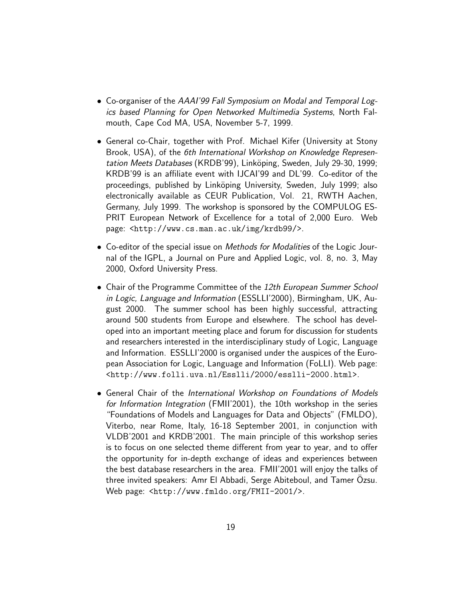- Co-organiser of the AAAI'99 Fall Symposium on Modal and Temporal Logics based Planning for Open Networked Multimedia Systems, North Falmouth, Cape Cod MA, USA, November 5-7, 1999.
- General co-Chair, together with Prof. Michael Kifer (University at Stony Brook, USA), of the 6th International Workshop on Knowledge Representation Meets Databases (KRDB'99), Linköping, Sweden, July 29-30, 1999; KRDB'99 is an affiliate event with IJCAI'99 and DL'99. Co-editor of the proceedings, published by Linköping University, Sweden, July 1999; also electronically available as CEUR Publication, Vol. 21, RWTH Aachen, Germany, July 1999. The workshop is sponsored by the COMPULOG ES-PRIT European Network of Excellence for a total of 2,000 Euro. Web page: <http://www.cs.man.ac.uk/img/krdb99/>.
- Co-editor of the special issue on *Methods for Modalities* of the Logic Journal of the IGPL, a Journal on Pure and Applied Logic, vol. 8, no. 3, May 2000, Oxford University Press.
- Chair of the Programme Committee of the 12th European Summer School in Logic, Language and Information (ESSLLI'2000), Birmingham, UK, August 2000. The summer school has been highly successful, attracting around 500 students from Europe and elsewhere. The school has developed into an important meeting place and forum for discussion for students and researchers interested in the interdisciplinary study of Logic, Language and Information. ESSLLI'2000 is organised under the auspices of the European Association for Logic, Language and Information (FoLLI). Web page: <http://www.folli.uva.nl/Esslli/2000/esslli-2000.html>.
- General Chair of the International Workshop on Foundations of Models for Information Integration (FMII'2001), the 10th workshop in the series "Foundations of Models and Languages for Data and Objects" (FMLDO), Viterbo, near Rome, Italy, 16-18 September 2001, in conjunction with VLDB'2001 and KRDB'2001. The main principle of this workshop series is to focus on one selected theme different from year to year, and to offer the opportunity for in-depth exchange of ideas and experiences between the best database researchers in the area. FMII'2001 will enjoy the talks of three invited speakers: Amr El Abbadi, Serge Abiteboul, and Tamer Ozsu. ¨ Web page: <http://www.fmldo.org/FMII-2001/>.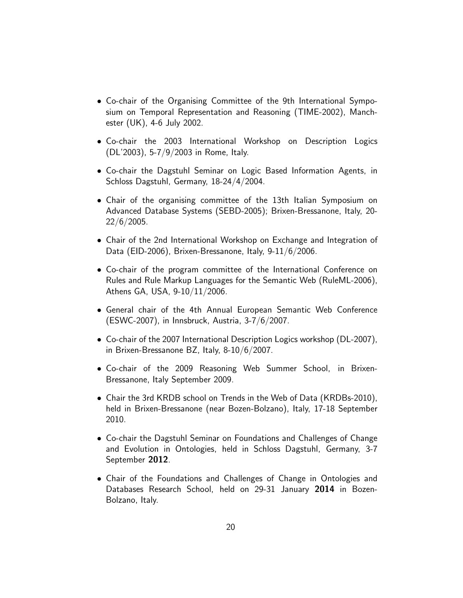- Co-chair of the Organising Committee of the 9th International Symposium on Temporal Representation and Reasoning (TIME-2002), Manchester (UK), 4-6 July 2002.
- Co-chair the 2003 International Workshop on Description Logics (DL'2003), 5-7/9/2003 in Rome, Italy.
- Co-chair the Dagstuhl Seminar on Logic Based Information Agents, in Schloss Dagstuhl, Germany, 18-24/4/2004.
- Chair of the organising committee of the 13th Italian Symposium on Advanced Database Systems (SEBD-2005); Brixen-Bressanone, Italy, 20- 22/6/2005.
- Chair of the 2nd International Workshop on Exchange and Integration of Data (EID-2006), Brixen-Bressanone, Italy, 9-11/6/2006.
- Co-chair of the program committee of the International Conference on Rules and Rule Markup Languages for the Semantic Web (RuleML-2006), Athens GA, USA, 9-10/11/2006.
- General chair of the 4th Annual European Semantic Web Conference (ESWC-2007), in Innsbruck, Austria, 3-7/6/2007.
- Co-chair of the 2007 International Description Logics workshop (DL-2007), in Brixen-Bressanone BZ, Italy, 8-10/6/2007.
- Co-chair of the 2009 Reasoning Web Summer School, in Brixen-Bressanone, Italy September 2009.
- Chair the 3rd KRDB school on Trends in the Web of Data (KRDBs-2010), held in Brixen-Bressanone (near Bozen-Bolzano), Italy, 17-18 September 2010.
- Co-chair the Dagstuhl Seminar on Foundations and Challenges of Change and Evolution in Ontologies, held in Schloss Dagstuhl, Germany, 3-7 September 2012.
- Chair of the Foundations and Challenges of Change in Ontologies and Databases Research School, held on 29-31 January 2014 in Bozen-Bolzano, Italy.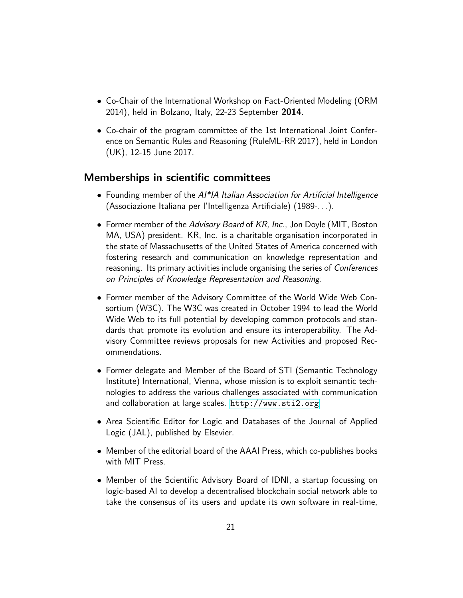- Co-Chair of the International Workshop on Fact-Oriented Modeling (ORM 2014), held in Bolzano, Italy, 22-23 September 2014.
- Co-chair of the program committee of the 1st International Joint Conference on Semantic Rules and Reasoning (RuleML-RR 2017), held in London (UK), 12-15 June 2017.

#### <span id="page-20-0"></span>Memberships in scientific committees

- Founding member of the AI\*IA Italian Association for Artificial Intelligence (Associazione Italiana per l'Intelligenza Artificiale) (1989-. . .).
- Former member of the Advisory Board of KR, Inc., Jon Doyle (MIT, Boston MA, USA) president. KR, Inc. is a charitable organisation incorporated in the state of Massachusetts of the United States of America concerned with fostering research and communication on knowledge representation and reasoning. Its primary activities include organising the series of *Conferences* on Principles of Knowledge Representation and Reasoning.
- Former member of the Advisory Committee of the World Wide Web Consortium (W3C). The W3C was created in October 1994 to lead the World Wide Web to its full potential by developing common protocols and standards that promote its evolution and ensure its interoperability. The Advisory Committee reviews proposals for new Activities and proposed Recommendations.
- Former delegate and Member of the Board of STI (Semantic Technology Institute) International, Vienna, whose mission is to exploit semantic technologies to address the various challenges associated with communication and collaboration at large scales. <http://www.sti2.org>
- Area Scientific Editor for Logic and Databases of the Journal of Applied Logic (JAL), published by Elsevier.
- Member of the editorial board of the AAAI Press, which co-publishes books with MIT Press.
- Member of the Scientific Advisory Board of IDNI, a startup focussing on logic-based AI to develop a decentralised blockchain social network able to take the consensus of its users and update its own software in real-time,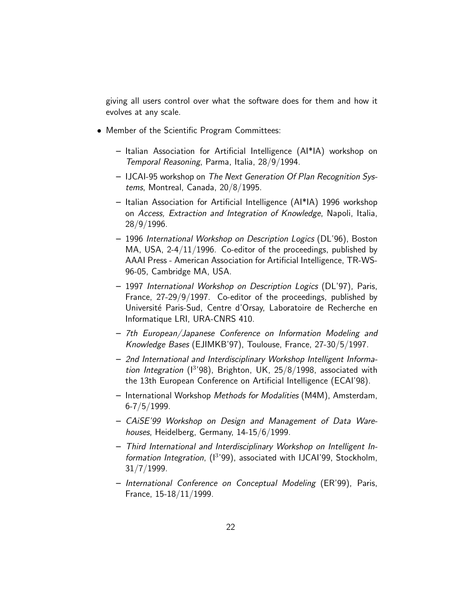giving all users control over what the software does for them and how it evolves at any scale.

- Member of the Scientific Program Committees:
	- Italian Association for Artificial Intelligence (AI\*IA) workshop on Temporal Reasoning, Parma, Italia, 28/9/1994.
	- IJCAI-95 workshop on The Next Generation Of Plan Recognition Systems, Montreal, Canada, 20/8/1995.
	- Italian Association for Artificial Intelligence (AI\*IA) 1996 workshop on Access, Extraction and Integration of Knowledge, Napoli, Italia, 28/9/1996.
	- 1996 International Workshop on Description Logics (DL'96), Boston MA, USA, 2-4/11/1996. Co-editor of the proceedings, published by AAAI Press - American Association for Artificial Intelligence, TR-WS-96-05, Cambridge MA, USA.
	- 1997 International Workshop on Description Logics (DL'97), Paris, France, 27-29/9/1997. Co-editor of the proceedings, published by Université Paris-Sud, Centre d'Orsay, Laboratoire de Recherche en Informatique LRI, URA-CNRS 410.
	- 7th European/Japanese Conference on Information Modeling and Knowledge Bases (EJIMKB'97), Toulouse, France, 27-30/5/1997.
	- 2nd International and Interdisciplinary Workshop Intelligent Information Integration ( $13'$ 98), Brighton, UK, 25/8/1998, associated with the 13th European Conference on Artificial Intelligence (ECAI'98).
	- International Workshop Methods for Modalities (M4M), Amsterdam,  $6 - 7/5/1999$ .
	- CAiSE'99 Workshop on Design and Management of Data Warehouses, Heidelberg, Germany, 14-15/6/1999.
	- Third International and Interdisciplinary Workshop on Intelligent Information Integration, (1<sup>3</sup>'99), associated with IJCAI'99, Stockholm, 31/7/1999.
	- International Conference on Conceptual Modeling (ER'99), Paris, France, 15-18/11/1999.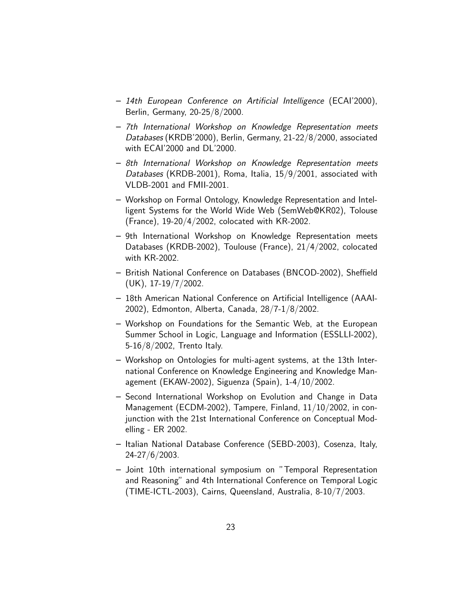- 14th European Conference on Artificial Intelligence (ECAI'2000), Berlin, Germany, 20-25/8/2000.
- 7th International Workshop on Knowledge Representation meets Databases (KRDB'2000), Berlin, Germany, 21-22/8/2000, associated with ECAI'2000 and DL'2000.
- 8th International Workshop on Knowledge Representation meets Databases (KRDB-2001), Roma, Italia, 15/9/2001, associated with VLDB-2001 and FMII-2001.
- Workshop on Formal Ontology, Knowledge Representation and Intelligent Systems for the World Wide Web (SemWeb@KR02), Tolouse (France), 19-20/4/2002, colocated with KR-2002.
- 9th International Workshop on Knowledge Representation meets Databases (KRDB-2002), Toulouse (France), 21/4/2002, colocated with KR-2002.
- British National Conference on Databases (BNCOD-2002), Sheffield  $(UK)$ , 17-19/7/2002.
- 18th American National Conference on Artificial Intelligence (AAAI-2002), Edmonton, Alberta, Canada, 28/7-1/8/2002.
- Workshop on Foundations for the Semantic Web, at the European Summer School in Logic, Language and Information (ESSLLI-2002), 5-16/8/2002, Trento Italy.
- Workshop on Ontologies for multi-agent systems, at the 13th International Conference on Knowledge Engineering and Knowledge Management (EKAW-2002), Siguenza (Spain), 1-4/10/2002.
- Second International Workshop on Evolution and Change in Data Management (ECDM-2002), Tampere, Finland, 11/10/2002, in conjunction with the 21st International Conference on Conceptual Modelling - ER 2002.
- Italian National Database Conference (SEBD-2003), Cosenza, Italy, 24-27/6/2003.
- Joint 10th international symposium on "Temporal Representation and Reasoning" and 4th International Conference on Temporal Logic (TIME-ICTL-2003), Cairns, Queensland, Australia, 8-10/7/2003.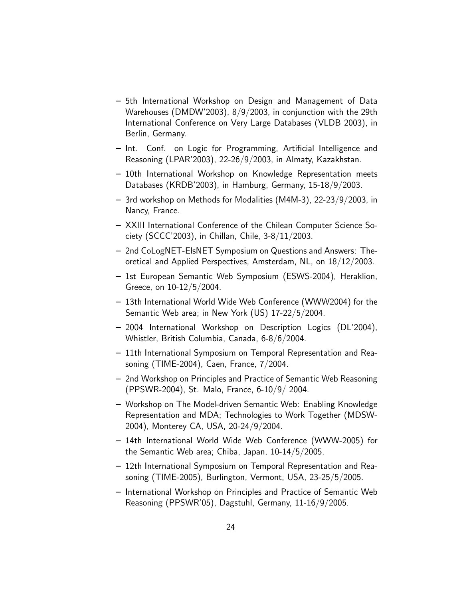- 5th International Workshop on Design and Management of Data Warehouses (DMDW'2003), 8/9/2003, in conjunction with the 29th International Conference on Very Large Databases (VLDB 2003), in Berlin, Germany.
- Int. Conf. on Logic for Programming, Artificial Intelligence and Reasoning (LPAR'2003), 22-26/9/2003, in Almaty, Kazakhstan.
- 10th International Workshop on Knowledge Representation meets Databases (KRDB'2003), in Hamburg, Germany, 15-18/9/2003.
- 3rd workshop on Methods for Modalities (M4M-3), 22-23/9/2003, in Nancy, France.
- XXIII International Conference of the Chilean Computer Science Society (SCCC'2003), in Chillan, Chile, 3-8/11/2003.
- 2nd CoLogNET-ElsNET Symposium on Questions and Answers: Theoretical and Applied Perspectives, Amsterdam, NL, on 18/12/2003.
- 1st European Semantic Web Symposium (ESWS-2004), Heraklion, Greece, on 10-12/5/2004.
- 13th International World Wide Web Conference (WWW2004) for the Semantic Web area; in New York (US) 17-22/5/2004.
- 2004 International Workshop on Description Logics (DL'2004), Whistler, British Columbia, Canada, 6-8/6/2004.
- 11th International Symposium on Temporal Representation and Reasoning (TIME-2004), Caen, France, 7/2004.
- 2nd Workshop on Principles and Practice of Semantic Web Reasoning (PPSWR-2004), St. Malo, France, 6-10/9/ 2004.
- Workshop on The Model-driven Semantic Web: Enabling Knowledge Representation and MDA; Technologies to Work Together (MDSW-2004), Monterey CA, USA, 20-24/9/2004.
- 14th International World Wide Web Conference (WWW-2005) for the Semantic Web area; Chiba, Japan, 10-14/5/2005.
- 12th International Symposium on Temporal Representation and Reasoning (TIME-2005), Burlington, Vermont, USA, 23-25/5/2005.
- International Workshop on Principles and Practice of Semantic Web Reasoning (PPSWR'05), Dagstuhl, Germany, 11-16/9/2005.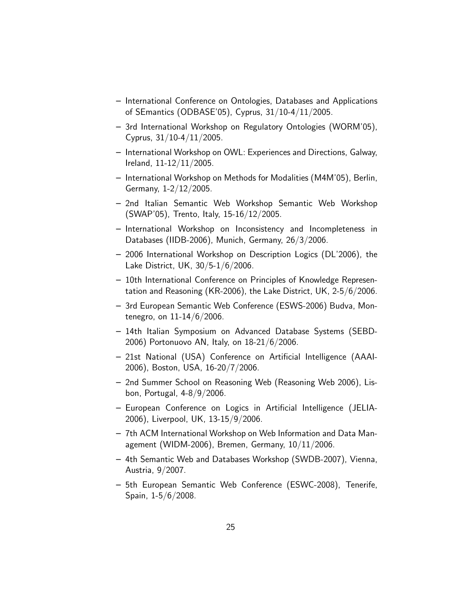- International Conference on Ontologies, Databases and Applications of SEmantics (ODBASE'05), Cyprus, 31/10-4/11/2005.
- 3rd International Workshop on Regulatory Ontologies (WORM'05), Cyprus, 31/10-4/11/2005.
- International Workshop on OWL: Experiences and Directions, Galway, Ireland, 11-12/11/2005.
- International Workshop on Methods for Modalities (M4M'05), Berlin, Germany, 1-2/12/2005.
- 2nd Italian Semantic Web Workshop Semantic Web Workshop (SWAP'05), Trento, Italy, 15-16/12/2005.
- International Workshop on Inconsistency and Incompleteness in Databases (IIDB-2006), Munich, Germany, 26/3/2006.
- 2006 International Workshop on Description Logics (DL'2006), the Lake District, UK, 30/5-1/6/2006.
- 10th International Conference on Principles of Knowledge Representation and Reasoning (KR-2006), the Lake District, UK, 2-5/6/2006.
- 3rd European Semantic Web Conference (ESWS-2006) Budva, Montenegro, on 11-14/6/2006.
- 14th Italian Symposium on Advanced Database Systems (SEBD-2006) Portonuovo AN, Italy, on 18-21/6/2006.
- 21st National (USA) Conference on Artificial Intelligence (AAAI-2006), Boston, USA, 16-20/7/2006.
- 2nd Summer School on Reasoning Web (Reasoning Web 2006), Lisbon, Portugal, 4-8/9/2006.
- European Conference on Logics in Artificial Intelligence (JELIA-2006), Liverpool, UK, 13-15/9/2006.
- 7th ACM International Workshop on Web Information and Data Management (WIDM-2006), Bremen, Germany, 10/11/2006.
- 4th Semantic Web and Databases Workshop (SWDB-2007), Vienna, Austria, 9/2007.
- 5th European Semantic Web Conference (ESWC-2008), Tenerife, Spain, 1-5/6/2008.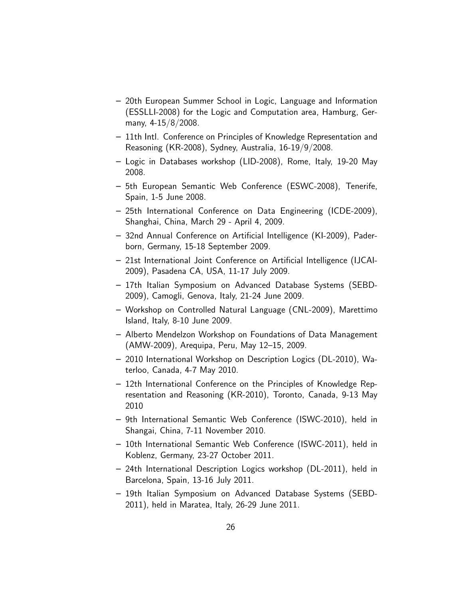- 20th European Summer School in Logic, Language and Information (ESSLLI-2008) for the Logic and Computation area, Hamburg, Germany, 4-15/8/2008.
- 11th Intl. Conference on Principles of Knowledge Representation and Reasoning (KR-2008), Sydney, Australia, 16-19/9/2008.
- Logic in Databases workshop (LID-2008), Rome, Italy, 19-20 May 2008.
- 5th European Semantic Web Conference (ESWC-2008), Tenerife, Spain, 1-5 June 2008.
- 25th International Conference on Data Engineering (ICDE-2009), Shanghai, China, March 29 - April 4, 2009.
- 32nd Annual Conference on Artificial Intelligence (KI-2009), Paderborn, Germany, 15-18 September 2009.
- 21st International Joint Conference on Artificial Intelligence (IJCAI-2009), Pasadena CA, USA, 11-17 July 2009.
- 17th Italian Symposium on Advanced Database Systems (SEBD-2009), Camogli, Genova, Italy, 21-24 June 2009.
- Workshop on Controlled Natural Language (CNL-2009), Marettimo Island, Italy, 8-10 June 2009.
- Alberto Mendelzon Workshop on Foundations of Data Management (AMW-2009), Arequipa, Peru, May 12–15, 2009.
- 2010 International Workshop on Description Logics (DL-2010), Waterloo, Canada, 4-7 May 2010.
- 12th International Conference on the Principles of Knowledge Representation and Reasoning (KR-2010), Toronto, Canada, 9-13 May 2010
- 9th International Semantic Web Conference (ISWC-2010), held in Shangai, China, 7-11 November 2010.
- 10th International Semantic Web Conference (ISWC-2011), held in Koblenz, Germany, 23-27 October 2011.
- 24th International Description Logics workshop (DL-2011), held in Barcelona, Spain, 13-16 July 2011.
- 19th Italian Symposium on Advanced Database Systems (SEBD-2011), held in Maratea, Italy, 26-29 June 2011.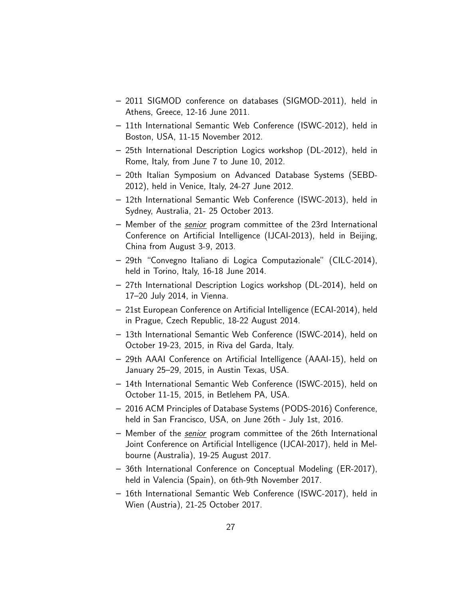- 2011 SIGMOD conference on databases (SIGMOD-2011), held in Athens, Greece, 12-16 June 2011.
- 11th International Semantic Web Conference (ISWC-2012), held in Boston, USA, 11-15 November 2012.
- 25th International Description Logics workshop (DL-2012), held in Rome, Italy, from June 7 to June 10, 2012.
- 20th Italian Symposium on Advanced Database Systems (SEBD-2012), held in Venice, Italy, 24-27 June 2012.
- 12th International Semantic Web Conference (ISWC-2013), held in Sydney, Australia, 21- 25 October 2013.
- Member of the senior program committee of the 23rd International Conference on Artificial Intelligence (IJCAI-2013), held in Beijing, China from August 3-9, 2013.
- 29th "Convegno Italiano di Logica Computazionale" (CILC-2014), held in Torino, Italy, 16-18 June 2014.
- 27th International Description Logics workshop (DL-2014), held on 17–20 July 2014, in Vienna.
- 21st European Conference on Artificial Intelligence (ECAI-2014), held in Prague, Czech Republic, 18-22 August 2014.
- 13th International Semantic Web Conference (ISWC-2014), held on October 19-23, 2015, in Riva del Garda, Italy.
- 29th AAAI Conference on Artificial Intelligence (AAAI-15), held on January 25–29, 2015, in Austin Texas, USA.
- 14th International Semantic Web Conference (ISWC-2015), held on October 11-15, 2015, in Betlehem PA, USA.
- 2016 ACM Principles of Database Systems (PODS-2016) Conference, held in San Francisco, USA, on June 26th - July 1st, 2016.
- Member of the senior program committee of the 26th International Joint Conference on Artificial Intelligence (IJCAI-2017), held in Melbourne (Australia), 19-25 August 2017.
- 36th International Conference on Conceptual Modeling (ER-2017), held in Valencia (Spain), on 6th-9th November 2017.
- 16th International Semantic Web Conference (ISWC-2017), held in Wien (Austria), 21-25 October 2017.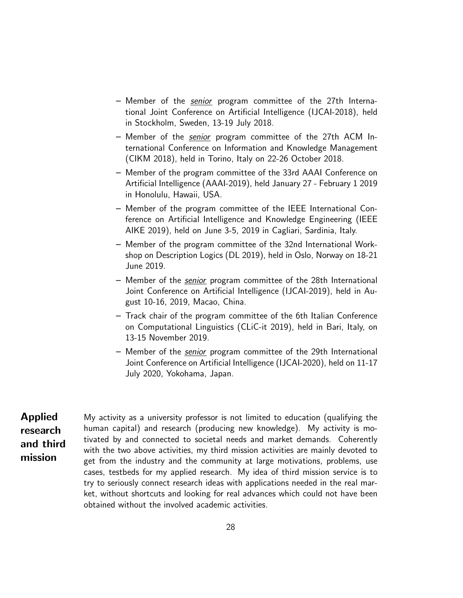- Member of the senior program committee of the 27th International Joint Conference on Artificial Intelligence (IJCAI-2018), held in Stockholm, Sweden, 13-19 July 2018.
- Member of the *senior* program committee of the 27th ACM International Conference on Information and Knowledge Management (CIKM 2018), held in Torino, Italy on 22-26 October 2018.
- Member of the program committee of the 33rd AAAI Conference on Artificial Intelligence (AAAI-2019), held January 27 - February 1 2019 in Honolulu, Hawaii, USA.
- Member of the program committee of the IEEE International Conference on Artificial Intelligence and Knowledge Engineering (IEEE AIKE 2019), held on June 3-5, 2019 in Cagliari, Sardinia, Italy.
- Member of the program committee of the 32nd International Workshop on Description Logics (DL 2019), held in Oslo, Norway on 18-21 June 2019.
- Member of the senior program committee of the 28th International Joint Conference on Artificial Intelligence (IJCAI-2019), held in August 10-16, 2019, Macao, China.
- Track chair of the program committee of the 6th Italian Conference on Computational Linguistics (CLiC-it 2019), held in Bari, Italy, on 13-15 November 2019.
- Member of the senior program committee of the 29th International Joint Conference on Artificial Intelligence (IJCAI-2020), held on 11-17 July 2020, Yokohama, Japan.

<span id="page-27-0"></span>Applied research and third mission My activity as a university professor is not limited to education (qualifying the human capital) and research (producing new knowledge). My activity is motivated by and connected to societal needs and market demands. Coherently with the two above activities, my third mission activities are mainly devoted to get from the industry and the community at large motivations, problems, use cases, testbeds for my applied research. My idea of third mission service is to try to seriously connect research ideas with applications needed in the real market, without shortcuts and looking for real advances which could not have been obtained without the involved academic activities.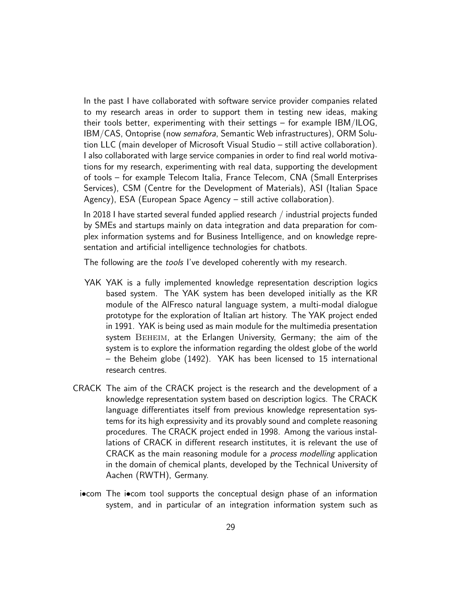In the past I have collaborated with software service provider companies related to my research areas in order to support them in testing new ideas, making their tools better, experimenting with their settings – for example IBM/ILOG, IBM/CAS, Ontoprise (now semafora, Semantic Web infrastructures), ORM Solution LLC (main developer of Microsoft Visual Studio – still active collaboration). I also collaborated with large service companies in order to find real world motivations for my research, experimenting with real data, supporting the development of tools – for example Telecom Italia, France Telecom, CNA (Small Enterprises Services), CSM (Centre for the Development of Materials), ASI (Italian Space Agency), ESA (European Space Agency – still active collaboration).

In 2018 I have started several funded applied research / industrial projects funded by SMEs and startups mainly on data integration and data preparation for complex information systems and for Business Intelligence, and on knowledge representation and artificial intelligence technologies for chatbots.

The following are the *tools* I've developed coherently with my research.

- YAK YAK is a fully implemented knowledge representation description logics based system. The YAK system has been developed initially as the KR module of the AlFresco natural language system, a multi-modal dialogue prototype for the exploration of Italian art history. The YAK project ended in 1991. YAK is being used as main module for the multimedia presentation system BEHEIM, at the Erlangen University, Germany; the aim of the system is to explore the information regarding the oldest globe of the world – the Beheim globe (1492). YAK has been licensed to 15 international research centres.
- CRACK The aim of the CRACK project is the research and the development of a knowledge representation system based on description logics. The CRACK language differentiates itself from previous knowledge representation systems for its high expressivity and its provably sound and complete reasoning procedures. The CRACK project ended in 1998. Among the various installations of CRACK in different research institutes, it is relevant the use of CRACK as the main reasoning module for a *process modelling* application in the domain of chemical plants, developed by the Technical University of Aachen (RWTH), Germany.
	- i•com The i•com tool supports the conceptual design phase of an information system, and in particular of an integration information system such as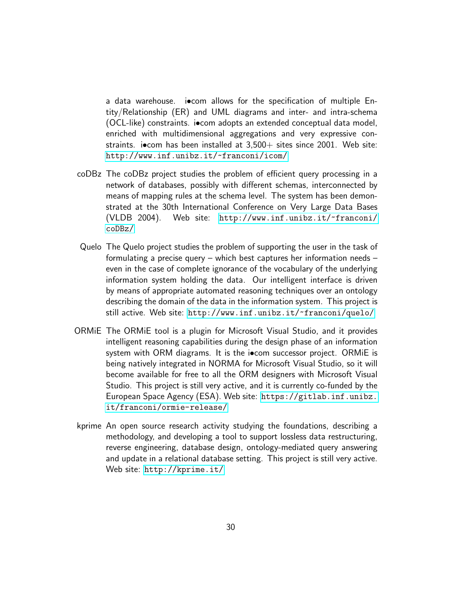a data warehouse. i•com allows for the specification of multiple Entity/Relationship (ER) and UML diagrams and inter- and intra-schema (OCL-like) constraints. i•com adopts an extended conceptual data model, enriched with multidimensional aggregations and very expressive constraints. i•com has been installed at  $3,500+$  sites since 2001. Web site: <http://www.inf.unibz.it/~franconi/icom/>

- coDBz The coDBz project studies the problem of efficient query processing in a network of databases, possibly with different schemas, interconnected by means of mapping rules at the schema level. The system has been demonstrated at the 30th International Conference on Very Large Data Bases (VLDB 2004). Web site: [http://www.inf.unibz.it/~franconi/](http://www.inf.unibz.it/~franconi/coDBz/) [coDBz/](http://www.inf.unibz.it/~franconi/coDBz/)
- Quelo The Quelo project studies the problem of supporting the user in the task of formulating a precise query – which best captures her information needs – even in the case of complete ignorance of the vocabulary of the underlying information system holding the data. Our intelligent interface is driven by means of appropriate automated reasoning techniques over an ontology describing the domain of the data in the information system. This project is still active. Web site: <http://www.inf.unibz.it/~franconi/quelo/>
- ORMiE The ORMiE tool is a plugin for Microsoft Visual Studio, and it provides intelligent reasoning capabilities during the design phase of an information system with ORM diagrams. It is the iocom successor project. ORMiE is being natively integrated in NORMA for Microsoft Visual Studio, so it will become available for free to all the ORM designers with Microsoft Visual Studio. This project is still very active, and it is currently co-funded by the European Space Agency (ESA). Web site: [https://gitlab.inf.unibz.](https://gitlab.inf.unibz.it/franconi/ormie-release/) [it/franconi/ormie-release/](https://gitlab.inf.unibz.it/franconi/ormie-release/)
- kprime An open source research activity studying the foundations, describing a methodology, and developing a tool to support lossless data restructuring, reverse engineering, database design, ontology-mediated query answering and update in a relational database setting. This project is still very active. Web site: <http://kprime.it/>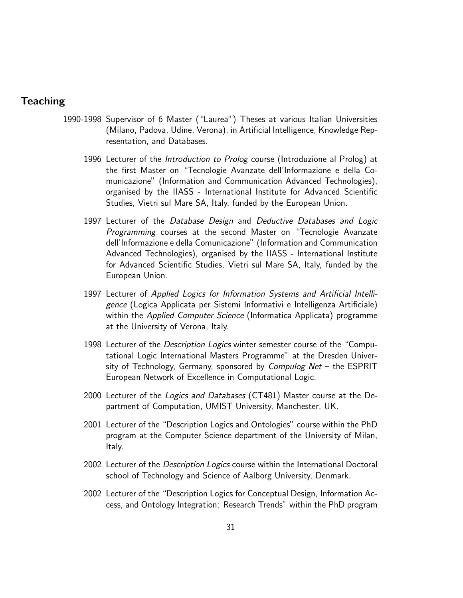# **Teaching**

- <span id="page-30-0"></span>1990-1998 Supervisor of 6 Master ("Laurea") Theses at various Italian Universities (Milano, Padova, Udine, Verona), in Artificial Intelligence, Knowledge Representation, and Databases.
	- 1996 Lecturer of the Introduction to Prolog course (Introduzione al Prolog) at the first Master on "Tecnologie Avanzate dell'Informazione e della Comunicazione" (Information and Communication Advanced Technologies), organised by the IIASS - International Institute for Advanced Scientific Studies, Vietri sul Mare SA, Italy, funded by the European Union.
	- 1997 Lecturer of the Database Design and Deductive Databases and Logic Programming courses at the second Master on "Tecnologie Avanzate dell'Informazione e della Comunicazione" (Information and Communication Advanced Technologies), organised by the IIASS - International Institute for Advanced Scientific Studies, Vietri sul Mare SA, Italy, funded by the European Union.
	- 1997 Lecturer of Applied Logics for Information Systems and Artificial Intelligence (Logica Applicata per Sistemi Informativi e Intelligenza Artificiale) within the Applied Computer Science (Informatica Applicata) programme at the University of Verona, Italy.
	- 1998 Lecturer of the Description Logics winter semester course of the "Computational Logic International Masters Programme" at the Dresden University of Technology, Germany, sponsored by Compulog Net  $-$  the ESPRIT European Network of Excellence in Computational Logic.
	- 2000 Lecturer of the Logics and Databases (CT481) Master course at the Department of Computation, UMIST University, Manchester, UK.
	- 2001 Lecturer of the "Description Logics and Ontologies" course within the PhD program at the Computer Science department of the University of Milan, Italy.
	- 2002 Lecturer of the Description Logics course within the International Doctoral school of Technology and Science of Aalborg University, Denmark.
	- 2002 Lecturer of the "Description Logics for Conceptual Design, Information Access, and Ontology Integration: Research Trends" within the PhD program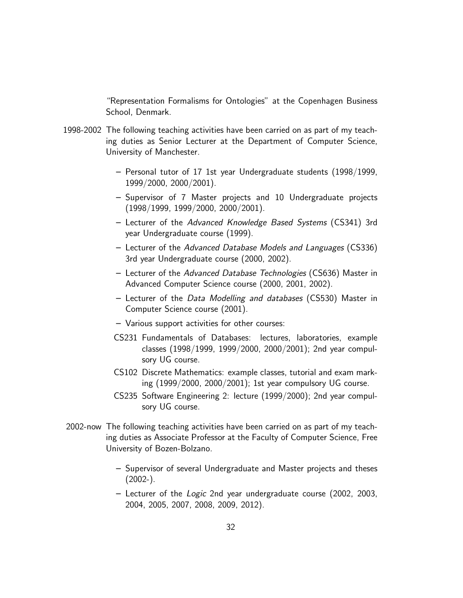"Representation Formalisms for Ontologies" at the Copenhagen Business School, Denmark.

- 1998-2002 The following teaching activities have been carried on as part of my teaching duties as Senior Lecturer at the Department of Computer Science, University of Manchester.
	- Personal tutor of 17 1st year Undergraduate students (1998/1999, 1999/2000, 2000/2001).
	- Supervisor of 7 Master projects and 10 Undergraduate projects (1998/1999, 1999/2000, 2000/2001).
	- Lecturer of the Advanced Knowledge Based Systems (CS341) 3rd year Undergraduate course (1999).
	- Lecturer of the Advanced Database Models and Languages (CS336) 3rd year Undergraduate course (2000, 2002).
	- Lecturer of the Advanced Database Technologies (CS636) Master in Advanced Computer Science course (2000, 2001, 2002).
	- Lecturer of the Data Modelling and databases (CS530) Master in Computer Science course (2001).
	- Various support activities for other courses:
	- CS231 Fundamentals of Databases: lectures, laboratories, example classes (1998/1999, 1999/2000, 2000/2001); 2nd year compulsory UG course.
	- CS102 Discrete Mathematics: example classes, tutorial and exam marking (1999/2000, 2000/2001); 1st year compulsory UG course.
	- CS235 Software Engineering 2: lecture (1999/2000); 2nd year compulsory UG course.
- 2002-now The following teaching activities have been carried on as part of my teaching duties as Associate Professor at the Faculty of Computer Science, Free University of Bozen-Bolzano.
	- Supervisor of several Undergraduate and Master projects and theses  $(2002-).$
	- Lecturer of the Logic 2nd year undergraduate course (2002, 2003, 2004, 2005, 2007, 2008, 2009, 2012).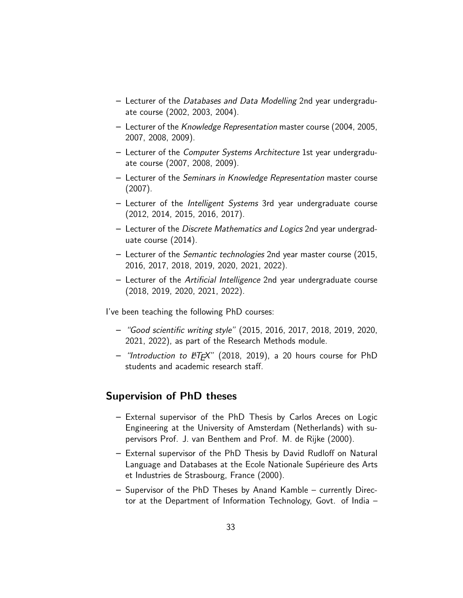- Lecturer of the Databases and Data Modelling 2nd year undergraduate course (2002, 2003, 2004).
- Lecturer of the Knowledge Representation master course (2004, 2005, 2007, 2008, 2009).
- Lecturer of the Computer Systems Architecture 1st year undergraduate course (2007, 2008, 2009).
- Lecturer of the Seminars in Knowledge Representation master course (2007).
- Lecturer of the Intelligent Systems 3rd year undergraduate course (2012, 2014, 2015, 2016, 2017).
- Lecturer of the Discrete Mathematics and Logics 2nd year undergraduate course (2014).
- Lecturer of the Semantic technologies 2nd year master course (2015, 2016, 2017, 2018, 2019, 2020, 2021, 2022).
- Lecturer of the Artificial Intelligence 2nd year undergraduate course (2018, 2019, 2020, 2021, 2022).

I've been teaching the following PhD courses:

- "Good scientific writing style" (2015, 2016, 2017, 2018, 2019, 2020, 2021, 2022), as part of the Research Methods module.
- $-$  "Introduction to  $\cancel{PT} \cancel{F}X$ " (2018, 2019), a 20 hours course for PhD students and academic research staff.

# <span id="page-32-0"></span>Supervision of PhD theses

- External supervisor of the PhD Thesis by Carlos Areces on Logic Engineering at the University of Amsterdam (Netherlands) with supervisors Prof. J. van Benthem and Prof. M. de Rijke (2000).
- External supervisor of the PhD Thesis by David Rudloff on Natural Language and Databases at the Ecole Nationale Supérieure des Arts et Industries de Strasbourg, France (2000).
- Supervisor of the PhD Theses by Anand Kamble currently Director at the Department of Information Technology, Govt. of India –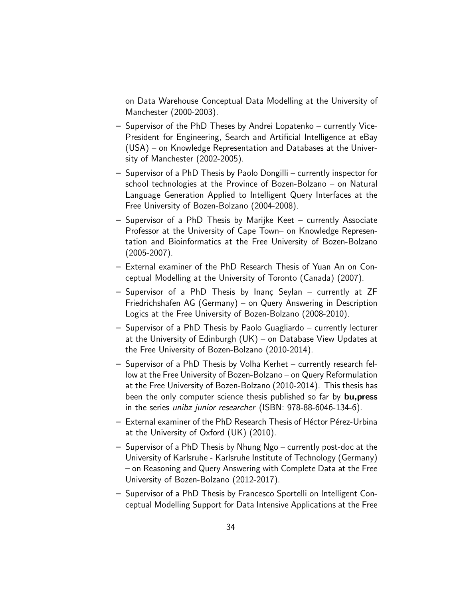on Data Warehouse Conceptual Data Modelling at the University of Manchester (2000-2003).

- Supervisor of the PhD Theses by Andrei Lopatenko currently Vice-President for Engineering, Search and Artificial Intelligence at eBay (USA) – on Knowledge Representation and Databases at the University of Manchester (2002-2005).
- Supervisor of a PhD Thesis by Paolo Dongilli currently inspector for school technologies at the Province of Bozen-Bolzano – on Natural Language Generation Applied to Intelligent Query Interfaces at the Free University of Bozen-Bolzano (2004-2008).
- Supervisor of a PhD Thesis by Marijke Keet currently Associate Professor at the University of Cape Town– on Knowledge Representation and Bioinformatics at the Free University of Bozen-Bolzano (2005-2007).
- External examiner of the PhD Research Thesis of Yuan An on Conceptual Modelling at the University of Toronto (Canada) (2007).
- $-$  Supervisor of a PhD Thesis by Inanç Seylan  $-$  currently at ZF Friedrichshafen AG (Germany) – on Query Answering in Description Logics at the Free University of Bozen-Bolzano (2008-2010).
- Supervisor of a PhD Thesis by Paolo Guagliardo currently lecturer at the University of Edinburgh (UK) – on Database View Updates at the Free University of Bozen-Bolzano (2010-2014).
- Supervisor of a PhD Thesis by Volha Kerhet currently research fellow at the Free University of Bozen-Bolzano – on Query Reformulation at the Free University of Bozen-Bolzano (2010-2014). This thesis has been the only computer science thesis published so far by **bu, press** in the series unibz junior researcher (ISBN: 978-88-6046-134-6).
- $-$  External examiner of the PhD Research Thesis of Héctor Pérez-Urbina at the University of Oxford (UK) (2010).
- Supervisor of a PhD Thesis by Nhung Ngo currently post-doc at the University of Karlsruhe - Karlsruhe Institute of Technology (Germany) – on Reasoning and Query Answering with Complete Data at the Free University of Bozen-Bolzano (2012-2017).
- Supervisor of a PhD Thesis by Francesco Sportelli on Intelligent Conceptual Modelling Support for Data Intensive Applications at the Free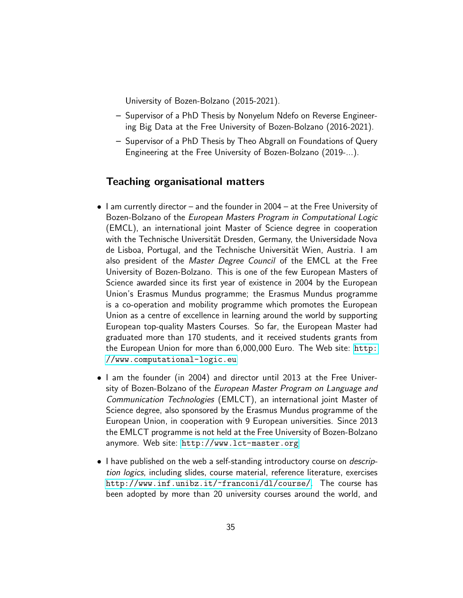University of Bozen-Bolzano (2015-2021).

- Supervisor of a PhD Thesis by Nonyelum Ndefo on Reverse Engineering Big Data at the Free University of Bozen-Bolzano (2016-2021).
- Supervisor of a PhD Thesis by Theo Abgrall on Foundations of Query Engineering at the Free University of Bozen-Bolzano (2019-...).

# <span id="page-34-0"></span>Teaching organisational matters

- I am currently director and the founder in 2004 at the Free University of Bozen-Bolzano of the European Masters Program in Computational Logic (EMCL), an international joint Master of Science degree in cooperation with the Technische Universität Dresden, Germany, the Universidade Nova de Lisboa, Portugal, and the Technische Universität Wien, Austria. I am also president of the Master Degree Council of the EMCL at the Free University of Bozen-Bolzano. This is one of the few European Masters of Science awarded since its first year of existence in 2004 by the European Union's Erasmus Mundus programme; the Erasmus Mundus programme is a co-operation and mobility programme which promotes the European Union as a centre of excellence in learning around the world by supporting European top-quality Masters Courses. So far, the European Master had graduated more than 170 students, and it received students grants from the European Union for more than 6,000,000 Euro. The Web site: [http:](http://www.computational-logic.eu) [//www.computational-logic.eu](http://www.computational-logic.eu)
- I am the founder (in 2004) and director until 2013 at the Free University of Bozen-Bolzano of the European Master Program on Language and Communication Technologies (EMLCT), an international joint Master of Science degree, also sponsored by the Erasmus Mundus programme of the European Union, in cooperation with 9 European universities. Since 2013 the EMLCT programme is not held at the Free University of Bozen-Bolzano anymore. Web site: <http://www.lct-master.org>
- I have published on the web a self-standing introductory course on *descrip*tion logics, including slides, course material, reference literature, exercises <http://www.inf.unibz.it/~franconi/dl/course/>. The course has been adopted by more than 20 university courses around the world, and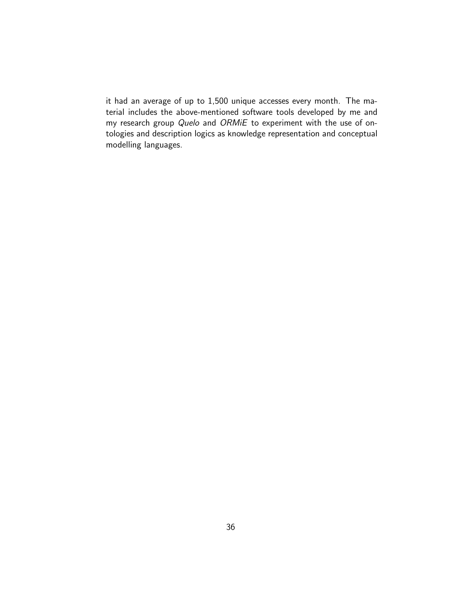it had an average of up to 1,500 unique accesses every month. The material includes the above-mentioned software tools developed by me and my research group Quelo and ORMiE to experiment with the use of ontologies and description logics as knowledge representation and conceptual modelling languages.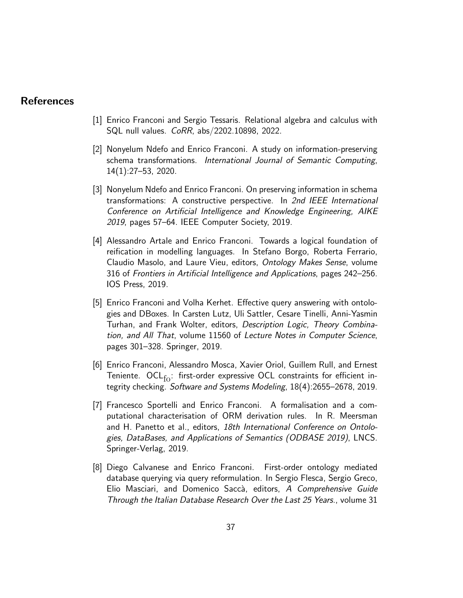# References

- [1] Enrico Franconi and Sergio Tessaris. Relational algebra and calculus with SQL null values. CoRR, abs/2202.10898, 2022.
- [2] Nonyelum Ndefo and Enrico Franconi. A study on information-preserving schema transformations. International Journal of Semantic Computing, 14(1):27–53, 2020.
- [3] Nonyelum Ndefo and Enrico Franconi. On preserving information in schema transformations: A constructive perspective. In 2nd IEEE International Conference on Artificial Intelligence and Knowledge Engineering, AIKE 2019, pages 57–64. IEEE Computer Society, 2019.
- [4] Alessandro Artale and Enrico Franconi. Towards a logical foundation of reification in modelling languages. In Stefano Borgo, Roberta Ferrario, Claudio Masolo, and Laure Vieu, editors, Ontology Makes Sense, volume 316 of Frontiers in Artificial Intelligence and Applications, pages 242–256. IOS Press, 2019.
- [5] Enrico Franconi and Volha Kerhet. Effective query answering with ontologies and DBoxes. In Carsten Lutz, Uli Sattler, Cesare Tinelli, Anni-Yasmin Turhan, and Frank Wolter, editors, Description Logic, Theory Combination, and All That, volume 11560 of Lecture Notes in Computer Science, pages 301–328. Springer, 2019.
- [6] Enrico Franconi, Alessandro Mosca, Xavier Oriol, Guillem Rull, and Ernest Teniente.  $OCL_{fo}$ : first-order expressive OCL constraints for efficient integrity checking. Software and Systems Modeling, 18(4):2655–2678, 2019.
- [7] Francesco Sportelli and Enrico Franconi. A formalisation and a computational characterisation of ORM derivation rules. In R. Meersman and H. Panetto et al., editors, 18th International Conference on Ontologies, DataBases, and Applications of Semantics (ODBASE 2019), LNCS. Springer-Verlag, 2019.
- [8] Diego Calvanese and Enrico Franconi. First-order ontology mediated database querying via query reformulation. In Sergio Flesca, Sergio Greco, Elio Masciari, and Domenico Saccà, editors, A Comprehensive Guide Through the Italian Database Research Over the Last 25 Years., volume 31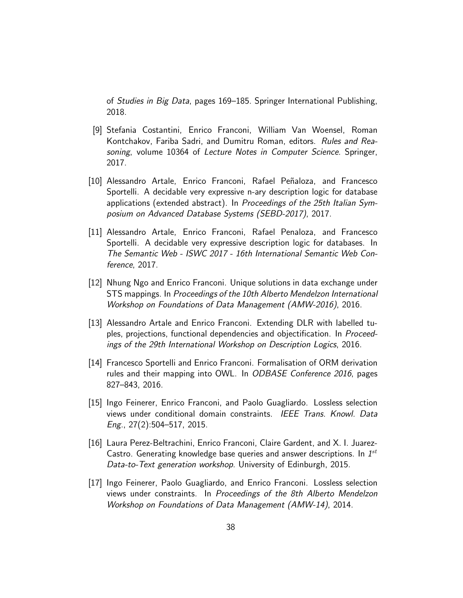of Studies in Big Data, pages 169–185. Springer International Publishing, 2018.

- [9] Stefania Costantini, Enrico Franconi, William Van Woensel, Roman Kontchakov, Fariba Sadri, and Dumitru Roman, editors. Rules and Reasoning, volume 10364 of Lecture Notes in Computer Science. Springer, 2017.
- [10] Alessandro Artale, Enrico Franconi, Rafael Peñaloza, and Francesco Sportelli. A decidable very expressive n-ary description logic for database applications (extended abstract). In Proceedings of the 25th Italian Symposium on Advanced Database Systems (SEBD-2017), 2017.
- [11] Alessandro Artale, Enrico Franconi, Rafael Penaloza, and Francesco Sportelli. A decidable very expressive description logic for databases. In The Semantic Web - ISWC 2017 - 16th International Semantic Web Conference, 2017.
- [12] Nhung Ngo and Enrico Franconi. Unique solutions in data exchange under STS mappings. In Proceedings of the 10th Alberto Mendelzon International Workshop on Foundations of Data Management (AMW-2016), 2016.
- [13] Alessandro Artale and Enrico Franconi. Extending DLR with labelled tuples, projections, functional dependencies and objectification. In Proceedings of the 29th International Workshop on Description Logics, 2016.
- [14] Francesco Sportelli and Enrico Franconi. Formalisation of ORM derivation rules and their mapping into OWL. In ODBASE Conference 2016, pages 827–843, 2016.
- [15] Ingo Feinerer, Enrico Franconi, and Paolo Guagliardo. Lossless selection views under conditional domain constraints. IEEE Trans. Knowl. Data Eng., 27(2):504–517, 2015.
- [16] Laura Perez-Beltrachini, Enrico Franconi, Claire Gardent, and X. I. Juarez-Castro. Generating knowledge base queries and answer descriptions. In  $1^{st}$ Data-to-Text generation workshop. University of Edinburgh, 2015.
- [17] Ingo Feinerer, Paolo Guagliardo, and Enrico Franconi. Lossless selection views under constraints. In Proceedings of the 8th Alberto Mendelzon Workshop on Foundations of Data Management (AMW-14), 2014.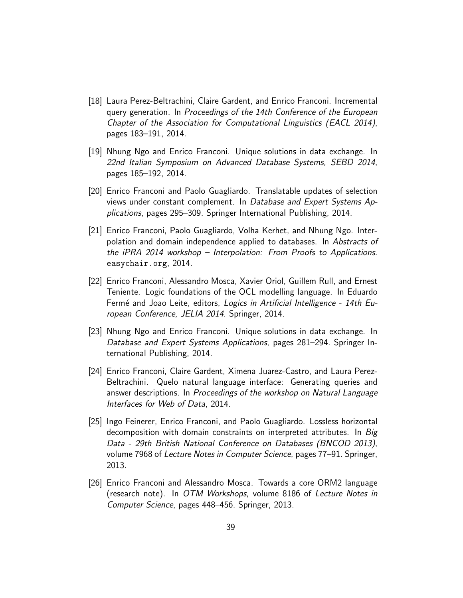- [18] Laura Perez-Beltrachini, Claire Gardent, and Enrico Franconi. Incremental query generation. In Proceedings of the 14th Conference of the European Chapter of the Association for Computational Linguistics (EACL 2014), pages 183–191, 2014.
- [19] Nhung Ngo and Enrico Franconi. Unique solutions in data exchange. In 22nd Italian Symposium on Advanced Database Systems, SEBD 2014, pages 185–192, 2014.
- [20] Enrico Franconi and Paolo Guagliardo. Translatable updates of selection views under constant complement. In Database and Expert Systems Applications, pages 295–309. Springer International Publishing, 2014.
- [21] Enrico Franconi, Paolo Guagliardo, Volha Kerhet, and Nhung Ngo. Interpolation and domain independence applied to databases. In Abstracts of the iPRA 2014 workshop – Interpolation: From Proofs to Applications. easychair.org, 2014.
- [22] Enrico Franconi, Alessandro Mosca, Xavier Oriol, Guillem Rull, and Ernest Teniente. Logic foundations of the OCL modelling language. In Eduardo Fermé and Joao Leite, editors, Logics in Artificial Intelligence - 14th European Conference, JELIA 2014. Springer, 2014.
- [23] Nhung Ngo and Enrico Franconi. Unique solutions in data exchange. In Database and Expert Systems Applications, pages 281–294. Springer International Publishing, 2014.
- [24] Enrico Franconi, Claire Gardent, Ximena Juarez-Castro, and Laura Perez-Beltrachini. Quelo natural language interface: Generating queries and answer descriptions. In Proceedings of the workshop on Natural Language Interfaces for Web of Data, 2014.
- [25] Ingo Feinerer, Enrico Franconi, and Paolo Guagliardo. Lossless horizontal decomposition with domain constraints on interpreted attributes. In Big Data - 29th British National Conference on Databases (BNCOD 2013), volume 7968 of Lecture Notes in Computer Science, pages 77–91. Springer, 2013.
- [26] Enrico Franconi and Alessandro Mosca. Towards a core ORM2 language (research note). In OTM Workshops, volume 8186 of Lecture Notes in Computer Science, pages 448–456. Springer, 2013.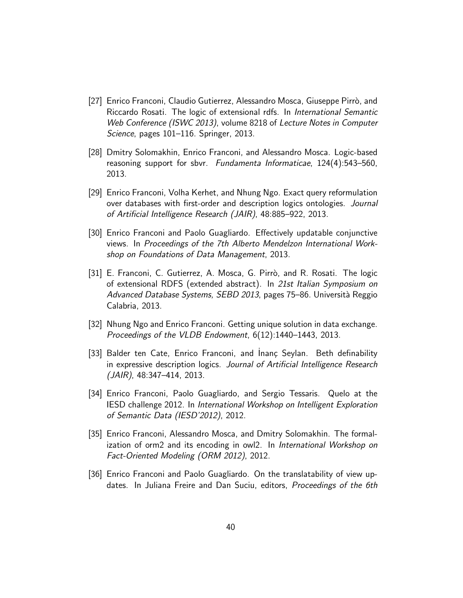- [27] Enrico Franconi, Claudio Gutierrez, Alessandro Mosca, Giuseppe Pirrò, and Riccardo Rosati. The logic of extensional rdfs. In International Semantic Web Conference (ISWC 2013), volume 8218 of Lecture Notes in Computer Science, pages 101–116. Springer, 2013.
- [28] Dmitry Solomakhin, Enrico Franconi, and Alessandro Mosca. Logic-based reasoning support for sbvr. Fundamenta Informaticae, 124(4):543–560, 2013.
- [29] Enrico Franconi, Volha Kerhet, and Nhung Ngo. Exact query reformulation over databases with first-order and description logics ontologies. Journal of Artificial Intelligence Research (JAIR), 48:885–922, 2013.
- [30] Enrico Franconi and Paolo Guagliardo. Effectively updatable conjunctive views. In Proceedings of the 7th Alberto Mendelzon International Workshop on Foundations of Data Management, 2013.
- [31] E. Franconi, C. Gutierrez, A. Mosca, G. Pirrò, and R. Rosati. The logic of extensional RDFS (extended abstract). In 21st Italian Symposium on Advanced Database Systems, SEBD 2013, pages 75–86. Università Reggio Calabria, 2013.
- [32] Nhung Ngo and Enrico Franconi. Getting unique solution in data exchange. Proceedings of the VLDB Endowment, 6(12):1440–1443, 2013.
- [33] Balder ten Cate, Enrico Franconi, and Inanç Seylan. Beth definability in expressive description logics. Journal of Artificial Intelligence Research (JAIR), 48:347–414, 2013.
- [34] Enrico Franconi, Paolo Guagliardo, and Sergio Tessaris. Quelo at the IESD challenge 2012. In International Workshop on Intelligent Exploration of Semantic Data (IESD'2012), 2012.
- [35] Enrico Franconi, Alessandro Mosca, and Dmitry Solomakhin. The formalization of orm2 and its encoding in owl2. In International Workshop on Fact-Oriented Modeling (ORM 2012), 2012.
- [36] Enrico Franconi and Paolo Guagliardo. On the translatability of view updates. In Juliana Freire and Dan Suciu, editors, Proceedings of the 6th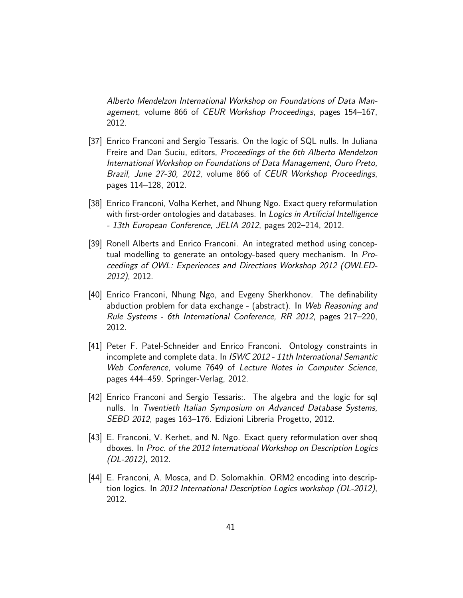Alberto Mendelzon International Workshop on Foundations of Data Management, volume 866 of CEUR Workshop Proceedings, pages 154–167, 2012.

- [37] Enrico Franconi and Sergio Tessaris. On the logic of SQL nulls. In Juliana Freire and Dan Suciu, editors, Proceedings of the 6th Alberto Mendelzon International Workshop on Foundations of Data Management, Ouro Preto, Brazil, June 27-30, 2012, volume 866 of CEUR Workshop Proceedings, pages 114–128, 2012.
- [38] Enrico Franconi, Volha Kerhet, and Nhung Ngo. Exact query reformulation with first-order ontologies and databases. In *Logics in Artificial Intelligence* - 13th European Conference, JELIA 2012, pages 202–214, 2012.
- [39] Ronell Alberts and Enrico Franconi. An integrated method using conceptual modelling to generate an ontology-based query mechanism. In Proceedings of OWL: Experiences and Directions Workshop 2012 (OWLED-2012), 2012.
- [40] Enrico Franconi, Nhung Ngo, and Evgeny Sherkhonov. The definability abduction problem for data exchange - (abstract). In Web Reasoning and Rule Systems - 6th International Conference, RR 2012, pages 217–220, 2012.
- [41] Peter F. Patel-Schneider and Enrico Franconi. Ontology constraints in incomplete and complete data. In ISWC 2012 - 11th International Semantic Web Conference, volume 7649 of Lecture Notes in Computer Science, pages 444–459. Springer-Verlag, 2012.
- [42] Enrico Franconi and Sergio Tessaris:. The algebra and the logic for sql nulls. In Twentieth Italian Symposium on Advanced Database Systems, SEBD 2012, pages 163–176. Edizioni Libreria Progetto, 2012.
- [43] E. Franconi, V. Kerhet, and N. Ngo. Exact query reformulation over shoq dboxes. In Proc. of the 2012 International Workshop on Description Logics (DL-2012), 2012.
- [44] E. Franconi, A. Mosca, and D. Solomakhin. ORM2 encoding into description logics. In 2012 International Description Logics workshop (DL-2012), 2012.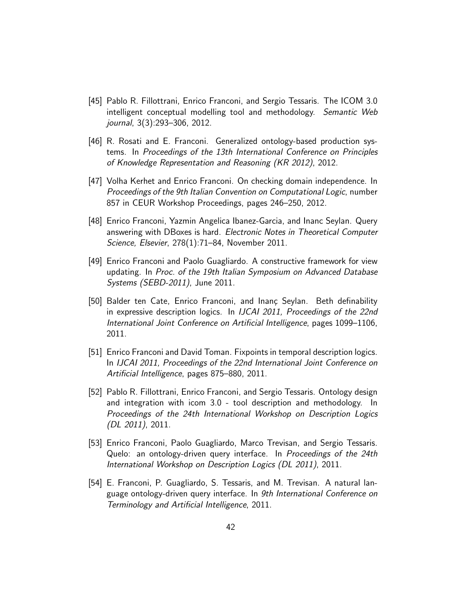- [45] Pablo R. Fillottrani, Enrico Franconi, and Sergio Tessaris. The ICOM 3.0 intelligent conceptual modelling tool and methodology. Semantic Web journal, 3(3):293–306, 2012.
- [46] R. Rosati and E. Franconi. Generalized ontology-based production systems. In Proceedings of the 13th International Conference on Principles of Knowledge Representation and Reasoning (KR 2012), 2012.
- [47] Volha Kerhet and Enrico Franconi. On checking domain independence. In Proceedings of the 9th Italian Convention on Computational Logic, number 857 in CEUR Workshop Proceedings, pages 246–250, 2012.
- [48] Enrico Franconi, Yazmin Angelica Ibanez-Garcia, and Inanc Seylan. Query answering with DBoxes is hard. Electronic Notes in Theoretical Computer Science, Elsevier, 278(1):71–84, November 2011.
- [49] Enrico Franconi and Paolo Guagliardo. A constructive framework for view updating. In Proc. of the 19th Italian Symposium on Advanced Database Systems (SEBD-2011), June 2011.
- [50] Balder ten Cate, Enrico Franconi, and Inanç Seylan. Beth definability in expressive description logics. In IJCAI 2011, Proceedings of the 22nd International Joint Conference on Artificial Intelligence, pages 1099–1106, 2011.
- [51] Enrico Franconi and David Toman. Fixpoints in temporal description logics. In IJCAI 2011, Proceedings of the 22nd International Joint Conference on Artificial Intelligence, pages 875–880, 2011.
- [52] Pablo R. Fillottrani, Enrico Franconi, and Sergio Tessaris. Ontology design and integration with icom 3.0 - tool description and methodology. In Proceedings of the 24th International Workshop on Description Logics (DL 2011), 2011.
- [53] Enrico Franconi, Paolo Guagliardo, Marco Trevisan, and Sergio Tessaris. Quelo: an ontology-driven query interface. In Proceedings of the 24th International Workshop on Description Logics (DL 2011), 2011.
- [54] E. Franconi, P. Guagliardo, S. Tessaris, and M. Trevisan. A natural language ontology-driven query interface. In 9th International Conference on Terminology and Artificial Intelligence, 2011.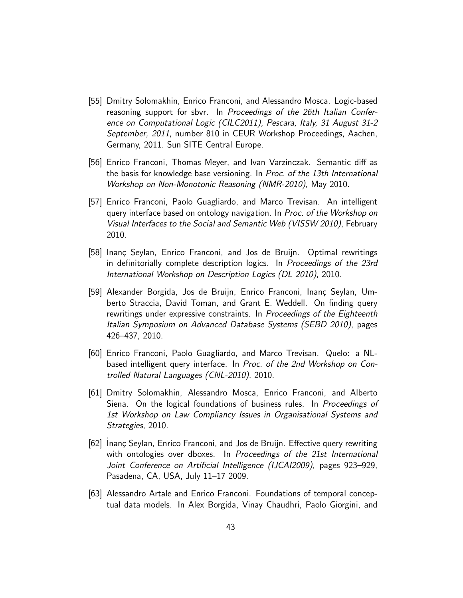- [55] Dmitry Solomakhin, Enrico Franconi, and Alessandro Mosca. Logic-based reasoning support for sbvr. In Proceedings of the 26th Italian Conference on Computational Logic (CILC2011), Pescara, Italy, 31 August 31-2 September, 2011, number 810 in CEUR Workshop Proceedings, Aachen, Germany, 2011. Sun SITE Central Europe.
- [56] Enrico Franconi, Thomas Meyer, and Ivan Varzinczak. Semantic diff as the basis for knowledge base versioning. In Proc. of the 13th International Workshop on Non-Monotonic Reasoning (NMR-2010), May 2010.
- [57] Enrico Franconi, Paolo Guagliardo, and Marco Trevisan. An intelligent query interface based on ontology navigation. In Proc. of the Workshop on Visual Interfaces to the Social and Semantic Web (VISSW 2010), February 2010.
- [58] Inanç Seylan, Enrico Franconi, and Jos de Bruijn. Optimal rewritings in definitorially complete description logics. In Proceedings of the 23rd International Workshop on Description Logics (DL 2010), 2010.
- [59] Alexander Borgida, Jos de Bruijn, Enrico Franconi, Inanç Seylan, Umberto Straccia, David Toman, and Grant E. Weddell. On finding query rewritings under expressive constraints. In Proceedings of the Eighteenth Italian Symposium on Advanced Database Systems (SEBD 2010), pages 426–437, 2010.
- [60] Enrico Franconi, Paolo Guagliardo, and Marco Trevisan. Quelo: a NLbased intelligent query interface. In Proc. of the 2nd Workshop on Controlled Natural Languages (CNL-2010), 2010.
- [61] Dmitry Solomakhin, Alessandro Mosca, Enrico Franconi, and Alberto Siena. On the logical foundations of business rules. In *Proceedings of* 1st Workshop on Law Compliancy Issues in Organisational Systems and Strategies, 2010.
- [62] Inanç Seylan, Enrico Franconi, and Jos de Bruijn. Effective query rewriting with ontologies over dboxes. In Proceedings of the 21st International Joint Conference on Artificial Intelligence (IJCAI2009), pages 923–929, Pasadena, CA, USA, July 11–17 2009.
- [63] Alessandro Artale and Enrico Franconi. Foundations of temporal conceptual data models. In Alex Borgida, Vinay Chaudhri, Paolo Giorgini, and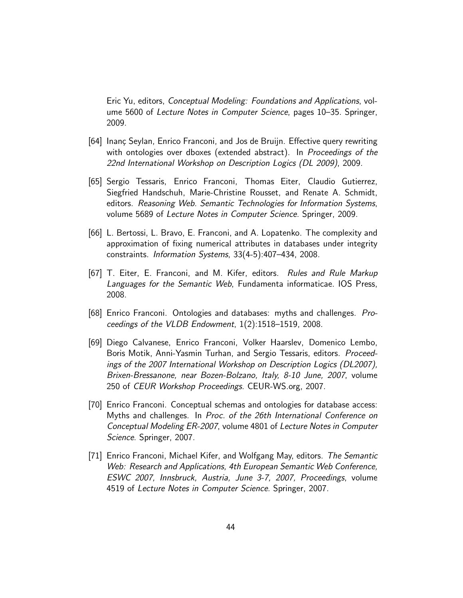Eric Yu, editors, Conceptual Modeling: Foundations and Applications, volume 5600 of Lecture Notes in Computer Science, pages 10–35. Springer, 2009.

- [64] Inanç Seylan, Enrico Franconi, and Jos de Bruijn. Effective query rewriting with ontologies over dboxes (extended abstract). In Proceedings of the 22nd International Workshop on Description Logics (DL 2009), 2009.
- [65] Sergio Tessaris, Enrico Franconi, Thomas Eiter, Claudio Gutierrez, Siegfried Handschuh, Marie-Christine Rousset, and Renate A. Schmidt, editors. Reasoning Web. Semantic Technologies for Information Systems, volume 5689 of Lecture Notes in Computer Science. Springer, 2009.
- [66] L. Bertossi, L. Bravo, E. Franconi, and A. Lopatenko. The complexity and approximation of fixing numerical attributes in databases under integrity constraints. Information Systems, 33(4-5):407–434, 2008.
- [67] T. Eiter, E. Franconi, and M. Kifer, editors. Rules and Rule Markup Languages for the Semantic Web, Fundamenta informaticae. IOS Press, 2008.
- [68] Enrico Franconi. Ontologies and databases: myths and challenges. Proceedings of the VLDB Endowment, 1(2):1518–1519, 2008.
- [69] Diego Calvanese, Enrico Franconi, Volker Haarslev, Domenico Lembo, Boris Motik, Anni-Yasmin Turhan, and Sergio Tessaris, editors. Proceedings of the 2007 International Workshop on Description Logics (DL2007), Brixen-Bressanone, near Bozen-Bolzano, Italy, 8-10 June, 2007, volume 250 of CEUR Workshop Proceedings. CEUR-WS.org, 2007.
- [70] Enrico Franconi. Conceptual schemas and ontologies for database access: Myths and challenges. In Proc. of the 26th International Conference on Conceptual Modeling ER-2007, volume 4801 of Lecture Notes in Computer Science. Springer, 2007.
- [71] Enrico Franconi, Michael Kifer, and Wolfgang May, editors. The Semantic Web: Research and Applications, 4th European Semantic Web Conference, ESWC 2007, Innsbruck, Austria, June 3-7, 2007, Proceedings, volume 4519 of Lecture Notes in Computer Science. Springer, 2007.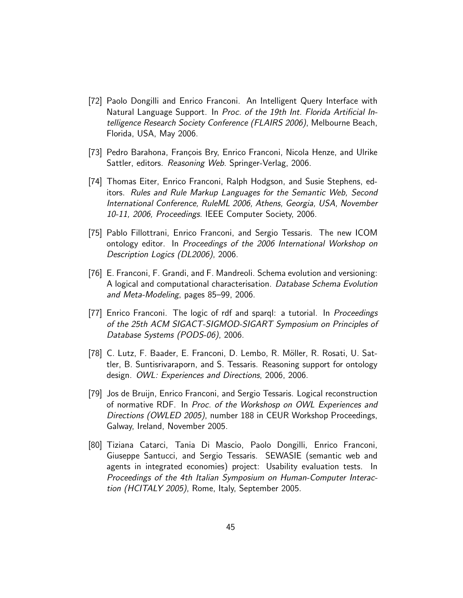- [72] Paolo Dongilli and Enrico Franconi. An Intelligent Query Interface with Natural Language Support. In Proc. of the 19th Int. Florida Artificial Intelligence Research Society Conference (FLAIRS 2006), Melbourne Beach, Florida, USA, May 2006.
- [73] Pedro Barahona, François Bry, Enrico Franconi, Nicola Henze, and Ulrike Sattler, editors. Reasoning Web. Springer-Verlag, 2006.
- [74] Thomas Eiter, Enrico Franconi, Ralph Hodgson, and Susie Stephens, editors. Rules and Rule Markup Languages for the Semantic Web, Second International Conference, RuleML 2006, Athens, Georgia, USA, November 10-11, 2006, Proceedings. IEEE Computer Society, 2006.
- [75] Pablo Fillottrani, Enrico Franconi, and Sergio Tessaris. The new ICOM ontology editor. In Proceedings of the 2006 International Workshop on Description Logics (DL2006), 2006.
- [76] E. Franconi, F. Grandi, and F. Mandreoli. Schema evolution and versioning: A logical and computational characterisation. Database Schema Evolution and Meta-Modeling, pages 85–99, 2006.
- [77] Enrico Franconi. The logic of rdf and sparql: a tutorial. In Proceedings of the 25th ACM SIGACT-SIGMOD-SIGART Symposium on Principles of Database Systems (PODS-06), 2006.
- [78] C. Lutz, F. Baader, E. Franconi, D. Lembo, R. M¨oller, R. Rosati, U. Sattler, B. Suntisrivaraporn, and S. Tessaris. Reasoning support for ontology design. OWL: Experiences and Directions, 2006, 2006.
- [79] Jos de Bruijn, Enrico Franconi, and Sergio Tessaris. Logical reconstruction of normative RDF. In Proc. of the Workshosp on OWL Experiences and Directions (OWLED 2005), number 188 in CEUR Workshop Proceedings, Galway, Ireland, November 2005.
- [80] Tiziana Catarci, Tania Di Mascio, Paolo Dongilli, Enrico Franconi, Giuseppe Santucci, and Sergio Tessaris. SEWASIE (semantic web and agents in integrated economies) project: Usability evaluation tests. In Proceedings of the 4th Italian Symposium on Human-Computer Interaction (HCITALY 2005), Rome, Italy, September 2005.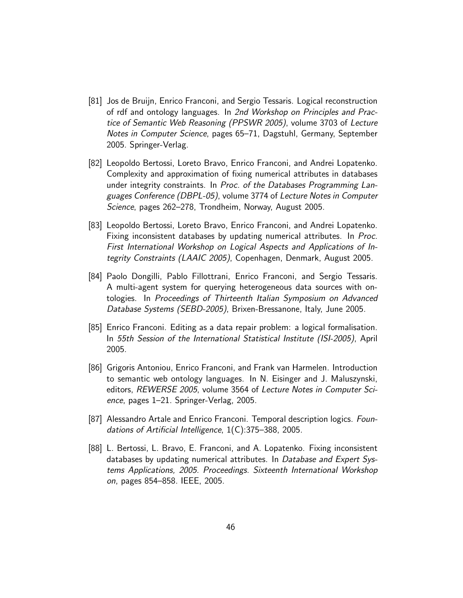- [81] Jos de Bruijn, Enrico Franconi, and Sergio Tessaris. Logical reconstruction of rdf and ontology languages. In 2nd Workshop on Principles and Practice of Semantic Web Reasoning (PPSWR 2005), volume 3703 of Lecture Notes in Computer Science, pages 65–71, Dagstuhl, Germany, September 2005. Springer-Verlag.
- [82] Leopoldo Bertossi, Loreto Bravo, Enrico Franconi, and Andrei Lopatenko. Complexity and approximation of fixing numerical attributes in databases under integrity constraints. In Proc. of the Databases Programming Languages Conference (DBPL-05), volume 3774 of Lecture Notes in Computer Science, pages 262–278, Trondheim, Norway, August 2005.
- [83] Leopoldo Bertossi, Loreto Bravo, Enrico Franconi, and Andrei Lopatenko. Fixing inconsistent databases by updating numerical attributes. In Proc. First International Workshop on Logical Aspects and Applications of Integrity Constraints (LAAIC 2005), Copenhagen, Denmark, August 2005.
- [84] Paolo Dongilli, Pablo Fillottrani, Enrico Franconi, and Sergio Tessaris. A multi-agent system for querying heterogeneous data sources with ontologies. In Proceedings of Thirteenth Italian Symposium on Advanced Database Systems (SEBD-2005), Brixen-Bressanone, Italy, June 2005.
- [85] Enrico Franconi. Editing as a data repair problem: a logical formalisation. In 55th Session of the International Statistical Institute (ISI-2005), April 2005.
- [86] Grigoris Antoniou, Enrico Franconi, and Frank van Harmelen. Introduction to semantic web ontology languages. In N. Eisinger and J. Maluszynski, editors, REWERSE 2005, volume 3564 of Lecture Notes in Computer Science, pages 1–21. Springer-Verlag, 2005.
- [87] Alessandro Artale and Enrico Franconi. Temporal description logics. Foundations of Artificial Intelligence, 1(C):375–388, 2005.
- [88] L. Bertossi, L. Bravo, E. Franconi, and A. Lopatenko. Fixing inconsistent databases by updating numerical attributes. In Database and Expert Systems Applications, 2005. Proceedings. Sixteenth International Workshop on, pages 854–858. IEEE, 2005.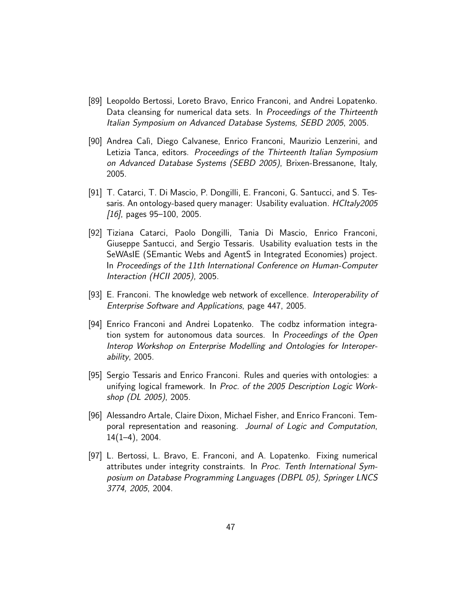- [89] Leopoldo Bertossi, Loreto Bravo, Enrico Franconi, and Andrei Lopatenko. Data cleansing for numerical data sets. In Proceedings of the Thirteenth Italian Symposium on Advanced Database Systems, SEBD 2005, 2005.
- [90] Andrea Cal`ı, Diego Calvanese, Enrico Franconi, Maurizio Lenzerini, and Letizia Tanca, editors. Proceedings of the Thirteenth Italian Symposium on Advanced Database Systems (SEBD 2005), Brixen-Bressanone, Italy, 2005.
- [91] T. Catarci, T. Di Mascio, P. Dongilli, E. Franconi, G. Santucci, and S. Tessaris. An ontology-based query manager: Usability evaluation. *HCItaly2005*  $[16]$ , pages 95–100, 2005.
- [92] Tiziana Catarci, Paolo Dongilli, Tania Di Mascio, Enrico Franconi, Giuseppe Santucci, and Sergio Tessaris. Usability evaluation tests in the SeWAsIE (SEmantic Webs and AgentS in Integrated Economies) project. In Proceedings of the 11th International Conference on Human-Computer Interaction (HCII 2005), 2005.
- [93] E. Franconi. The knowledge web network of excellence. *Interoperability of* Enterprise Software and Applications, page 447, 2005.
- [94] Enrico Franconi and Andrei Lopatenko. The codbz information integration system for autonomous data sources. In Proceedings of the Open Interop Workshop on Enterprise Modelling and Ontologies for Interoperability, 2005.
- [95] Sergio Tessaris and Enrico Franconi. Rules and queries with ontologies: a unifying logical framework. In Proc. of the 2005 Description Logic Workshop (DL 2005), 2005.
- [96] Alessandro Artale, Claire Dixon, Michael Fisher, and Enrico Franconi. Temporal representation and reasoning. Journal of Logic and Computation, 14(1–4), 2004.
- [97] L. Bertossi, L. Bravo, E. Franconi, and A. Lopatenko. Fixing numerical attributes under integrity constraints. In Proc. Tenth International Symposium on Database Programming Languages (DBPL 05), Springer LNCS 3774, 2005, 2004.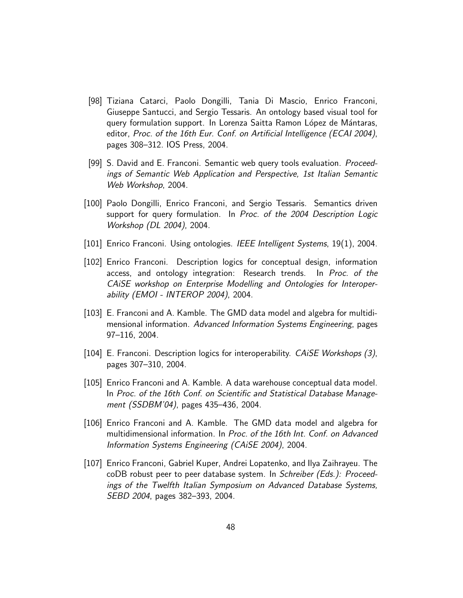- [98] Tiziana Catarci, Paolo Dongilli, Tania Di Mascio, Enrico Franconi, Giuseppe Santucci, and Sergio Tessaris. An ontology based visual tool for query formulation support. In Lorenza Saitta Ramon López de Mántaras, editor, Proc. of the 16th Eur. Conf. on Artificial Intelligence (ECAI 2004), pages 308–312. IOS Press, 2004.
- [99] S. David and E. Franconi. Semantic web query tools evaluation. Proceedings of Semantic Web Application and Perspective, 1st Italian Semantic Web Workshop, 2004.
- [100] Paolo Dongilli, Enrico Franconi, and Sergio Tessaris. Semantics driven support for query formulation. In Proc. of the 2004 Description Logic Workshop (DL 2004), 2004.
- [101] Enrico Franconi. Using ontologies. IEEE Intelligent Systems, 19(1), 2004.
- [102] Enrico Franconi. Description logics for conceptual design, information access, and ontology integration: Research trends. In Proc. of the CAiSE workshop on Enterprise Modelling and Ontologies for Interoperability (EMOI - INTEROP 2004), 2004.
- [103] E. Franconi and A. Kamble. The GMD data model and algebra for multidimensional information. Advanced Information Systems Engineering, pages 97–116, 2004.
- [104] E. Franconi. Description logics for interoperability. *CAiSE Workshops (3)*, pages 307–310, 2004.
- [105] Enrico Franconi and A. Kamble. A data warehouse conceptual data model. In Proc. of the 16th Conf. on Scientific and Statistical Database Management (SSDBM'04), pages 435–436, 2004.
- [106] Enrico Franconi and A. Kamble. The GMD data model and algebra for multidimensional information. In Proc. of the 16th Int. Conf. on Advanced Information Systems Engineering (CAiSE 2004), 2004.
- [107] Enrico Franconi, Gabriel Kuper, Andrei Lopatenko, and Ilya Zaihrayeu. The coDB robust peer to peer database system. In Schreiber (Eds.): Proceedings of the Twelfth Italian Symposium on Advanced Database Systems, SEBD 2004, pages 382–393, 2004.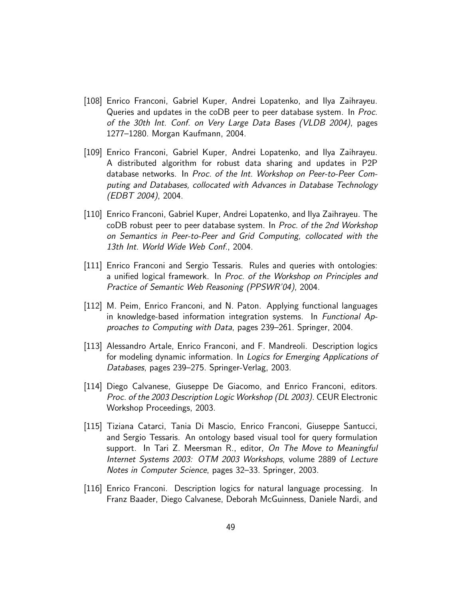- [108] Enrico Franconi, Gabriel Kuper, Andrei Lopatenko, and Ilya Zaihrayeu. Queries and updates in the coDB peer to peer database system. In Proc. of the 30th Int. Conf. on Very Large Data Bases (VLDB 2004), pages 1277–1280. Morgan Kaufmann, 2004.
- [109] Enrico Franconi, Gabriel Kuper, Andrei Lopatenko, and Ilya Zaihrayeu. A distributed algorithm for robust data sharing and updates in P2P database networks. In Proc. of the Int. Workshop on Peer-to-Peer Computing and Databases, collocated with Advances in Database Technology (EDBT 2004), 2004.
- [110] Enrico Franconi, Gabriel Kuper, Andrei Lopatenko, and Ilya Zaihrayeu. The coDB robust peer to peer database system. In Proc. of the 2nd Workshop on Semantics in Peer-to-Peer and Grid Computing, collocated with the 13th Int. World Wide Web Conf., 2004.
- [111] Enrico Franconi and Sergio Tessaris. Rules and queries with ontologies: a unified logical framework. In Proc. of the Workshop on Principles and Practice of Semantic Web Reasoning (PPSWR'04), 2004.
- [112] M. Peim, Enrico Franconi, and N. Paton. Applying functional languages in knowledge-based information integration systems. In Functional Approaches to Computing with Data, pages 239–261. Springer, 2004.
- [113] Alessandro Artale, Enrico Franconi, and F. Mandreoli. Description logics for modeling dynamic information. In Logics for Emerging Applications of Databases, pages 239–275. Springer-Verlag, 2003.
- [114] Diego Calvanese, Giuseppe De Giacomo, and Enrico Franconi, editors. Proc. of the 2003 Description Logic Workshop (DL 2003). CEUR Electronic Workshop Proceedings, 2003.
- [115] Tiziana Catarci, Tania Di Mascio, Enrico Franconi, Giuseppe Santucci, and Sergio Tessaris. An ontology based visual tool for query formulation support. In Tari Z. Meersman R., editor, On The Move to Meaningful Internet Systems 2003: OTM 2003 Workshops, volume 2889 of Lecture Notes in Computer Science, pages 32–33. Springer, 2003.
- [116] Enrico Franconi. Description logics for natural language processing. In Franz Baader, Diego Calvanese, Deborah McGuinness, Daniele Nardi, and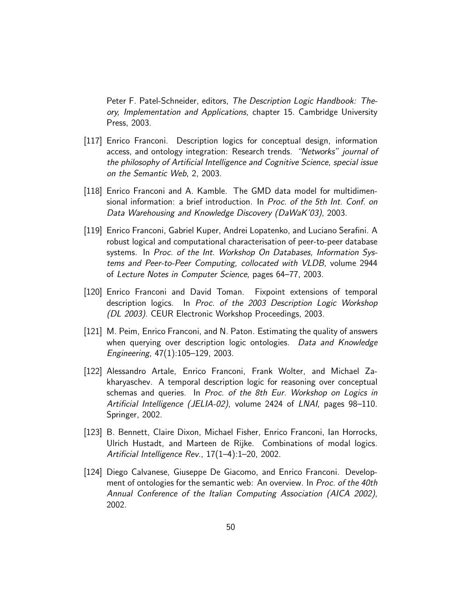Peter F. Patel-Schneider, editors, The Description Logic Handbook: Theory, Implementation and Applications, chapter 15. Cambridge University Press, 2003.

- [117] Enrico Franconi. Description logics for conceptual design, information access, and ontology integration: Research trends. "Networks" journal of the philosophy of Artificial Intelligence and Cognitive Science, special issue on the Semantic Web, 2, 2003.
- [118] Enrico Franconi and A. Kamble. The GMD data model for multidimensional information: a brief introduction. In Proc. of the 5th Int. Conf. on Data Warehousing and Knowledge Discovery (DaWaK'03), 2003.
- [119] Enrico Franconi, Gabriel Kuper, Andrei Lopatenko, and Luciano Serafini. A robust logical and computational characterisation of peer-to-peer database systems. In Proc. of the Int. Workshop On Databases, Information Systems and Peer-to-Peer Computing, collocated with VLDB, volume 2944 of Lecture Notes in Computer Science, pages 64–77, 2003.
- [120] Enrico Franconi and David Toman. Fixpoint extensions of temporal description logics. In Proc. of the 2003 Description Logic Workshop (DL 2003). CEUR Electronic Workshop Proceedings, 2003.
- [121] M. Peim, Enrico Franconi, and N. Paton. Estimating the quality of answers when querying over description logic ontologies. Data and Knowledge Engineering, 47(1):105–129, 2003.
- [122] Alessandro Artale, Enrico Franconi, Frank Wolter, and Michael Zakharyaschev. A temporal description logic for reasoning over conceptual schemas and queries. In Proc. of the 8th Eur. Workshop on Logics in Artificial Intelligence (JELIA-02), volume 2424 of LNAI, pages 98–110. Springer, 2002.
- [123] B. Bennett, Claire Dixon, Michael Fisher, Enrico Franconi, Ian Horrocks, Ulrich Hustadt, and Marteen de Rijke. Combinations of modal logics. Artificial Intelligence Rev., 17(1–4):1–20, 2002.
- [124] Diego Calvanese, Giuseppe De Giacomo, and Enrico Franconi. Development of ontologies for the semantic web: An overview. In Proc. of the 40th Annual Conference of the Italian Computing Association (AICA 2002), 2002.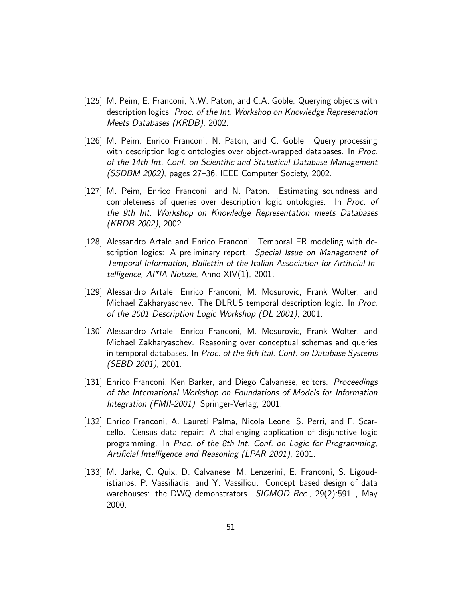- [125] M. Peim, E. Franconi, N.W. Paton, and C.A. Goble. Querying objects with description logics. Proc. of the Int. Workshop on Knowledge Represenation Meets Databases (KRDB), 2002.
- [126] M. Peim, Enrico Franconi, N. Paton, and C. Goble. Query processing with description logic ontologies over object-wrapped databases. In Proc. of the 14th Int. Conf. on Scientific and Statistical Database Management (SSDBM 2002), pages 27–36. IEEE Computer Society, 2002.
- [127] M. Peim, Enrico Franconi, and N. Paton. Estimating soundness and completeness of queries over description logic ontologies. In Proc. of the 9th Int. Workshop on Knowledge Representation meets Databases (KRDB 2002), 2002.
- [128] Alessandro Artale and Enrico Franconi. Temporal ER modeling with description logics: A preliminary report. Special Issue on Management of Temporal Information, Bullettin of the Italian Association for Artificial Intelligence, AI\*IA Notizie, Anno XIV(1), 2001.
- [129] Alessandro Artale, Enrico Franconi, M. Mosurovic, Frank Wolter, and Michael Zakharyaschev. The DLRUS temporal description logic. In Proc. of the 2001 Description Logic Workshop (DL 2001), 2001.
- [130] Alessandro Artale, Enrico Franconi, M. Mosurovic, Frank Wolter, and Michael Zakharyaschev. Reasoning over conceptual schemas and queries in temporal databases. In Proc. of the 9th Ital. Conf. on Database Systems (SEBD 2001), 2001.
- [131] Enrico Franconi, Ken Barker, and Diego Calvanese, editors. *Proceedings* of the International Workshop on Foundations of Models for Information Integration (FMII-2001). Springer-Verlag, 2001.
- [132] Enrico Franconi, A. Laureti Palma, Nicola Leone, S. Perri, and F. Scarcello. Census data repair: A challenging application of disjunctive logic programming. In Proc. of the 8th Int. Conf. on Logic for Programming, Artificial Intelligence and Reasoning (LPAR 2001), 2001.
- [133] M. Jarke, C. Quix, D. Calvanese, M. Lenzerini, E. Franconi, S. Ligoudistianos, P. Vassiliadis, and Y. Vassiliou. Concept based design of data warehouses: the DWQ demonstrators. SIGMOD Rec., 29(2):591-, May 2000.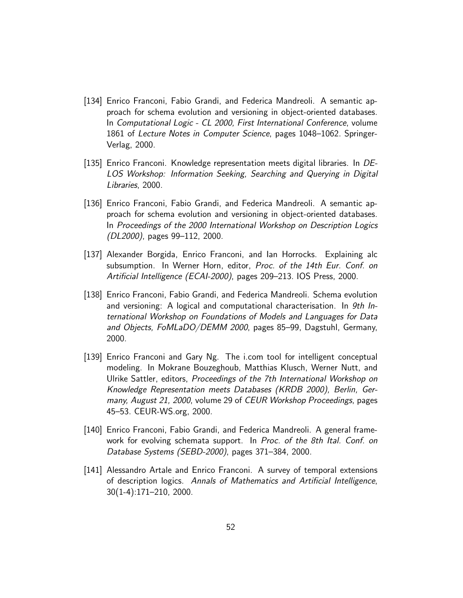- [134] Enrico Franconi, Fabio Grandi, and Federica Mandreoli. A semantic approach for schema evolution and versioning in object-oriented databases. In Computational Logic - CL 2000, First International Conference, volume 1861 of Lecture Notes in Computer Science, pages 1048–1062. Springer-Verlag, 2000.
- [135] Enrico Franconi. Knowledge representation meets digital libraries. In DE-LOS Workshop: Information Seeking, Searching and Querying in Digital Libraries, 2000.
- [136] Enrico Franconi, Fabio Grandi, and Federica Mandreoli. A semantic approach for schema evolution and versioning in object-oriented databases. In Proceedings of the 2000 International Workshop on Description Logics (DL2000), pages 99–112, 2000.
- [137] Alexander Borgida, Enrico Franconi, and Ian Horrocks. Explaining alc subsumption. In Werner Horn, editor, Proc. of the 14th Eur. Conf. on Artificial Intelligence (ECAI-2000), pages 209–213. IOS Press, 2000.
- [138] Enrico Franconi, Fabio Grandi, and Federica Mandreoli. Schema evolution and versioning: A logical and computational characterisation. In *9th In*ternational Workshop on Foundations of Models and Languages for Data and Objects, FoMLaDO/DEMM 2000, pages 85–99, Dagstuhl, Germany, 2000.
- [139] Enrico Franconi and Gary Ng. The i.com tool for intelligent conceptual modeling. In Mokrane Bouzeghoub, Matthias Klusch, Werner Nutt, and Ulrike Sattler, editors, Proceedings of the 7th International Workshop on Knowledge Representation meets Databases (KRDB 2000), Berlin, Germany, August 21, 2000, volume 29 of CEUR Workshop Proceedings, pages 45–53. CEUR-WS.org, 2000.
- [140] Enrico Franconi, Fabio Grandi, and Federica Mandreoli. A general framework for evolving schemata support. In Proc. of the 8th Ital. Conf. on Database Systems (SEBD-2000), pages 371–384, 2000.
- [141] Alessandro Artale and Enrico Franconi. A survey of temporal extensions of description logics. Annals of Mathematics and Artificial Intelligence, 30(1-4):171–210, 2000.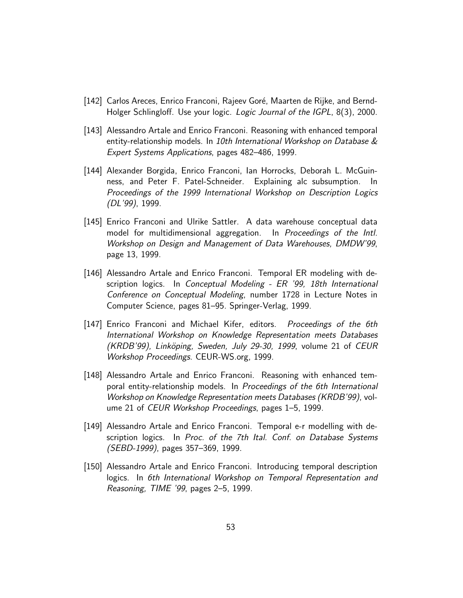- [142] Carlos Areces, Enrico Franconi, Rajeev Goré, Maarten de Rijke, and Bernd-Holger Schlingloff. Use your logic. Logic Journal of the IGPL, 8(3), 2000.
- [143] Alessandro Artale and Enrico Franconi. Reasoning with enhanced temporal entity-relationship models. In 10th International Workshop on Database  $\&$ Expert Systems Applications, pages 482–486, 1999.
- [144] Alexander Borgida, Enrico Franconi, Ian Horrocks, Deborah L. McGuinness, and Peter F. Patel-Schneider. Explaining alc subsumption. In Proceedings of the 1999 International Workshop on Description Logics (DL'99), 1999.
- [145] Enrico Franconi and Ulrike Sattler. A data warehouse conceptual data model for multidimensional aggregation. In Proceedings of the Intl. Workshop on Design and Management of Data Warehouses, DMDW'99, page 13, 1999.
- [146] Alessandro Artale and Enrico Franconi. Temporal ER modeling with description logics. In Conceptual Modeling - ER '99, 18th International Conference on Conceptual Modeling, number 1728 in Lecture Notes in Computer Science, pages 81–95. Springer-Verlag, 1999.
- [147] Enrico Franconi and Michael Kifer, editors. Proceedings of the 6th International Workshop on Knowledge Representation meets Databases (KRDB'99), Linköping, Sweden, July 29-30, 1999, volume 21 of CEUR Workshop Proceedings. CEUR-WS.org, 1999.
- [148] Alessandro Artale and Enrico Franconi. Reasoning with enhanced temporal entity-relationship models. In Proceedings of the 6th International Workshop on Knowledge Representation meets Databases (KRDB'99), volume 21 of CEUR Workshop Proceedings, pages 1–5, 1999.
- [149] Alessandro Artale and Enrico Franconi. Temporal e-r modelling with description logics. In Proc. of the 7th Ital. Conf. on Database Systems (SEBD-1999), pages 357–369, 1999.
- [150] Alessandro Artale and Enrico Franconi. Introducing temporal description logics. In 6th International Workshop on Temporal Representation and Reasoning, TIME '99, pages 2–5, 1999.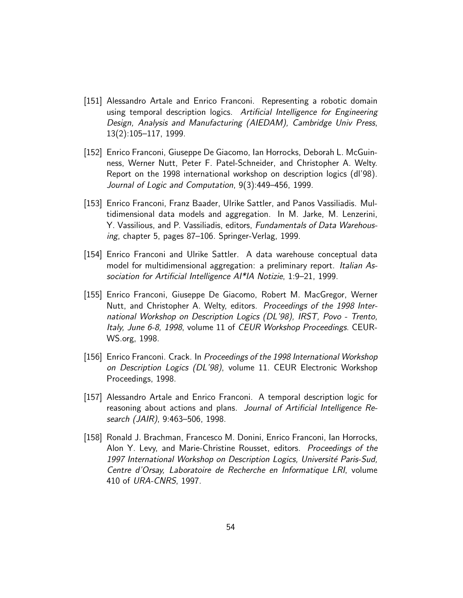- [151] Alessandro Artale and Enrico Franconi. Representing a robotic domain using temporal description logics. Artificial Intelligence for Engineering Design, Analysis and Manufacturing (AIEDAM), Cambridge Univ Press, 13(2):105–117, 1999.
- [152] Enrico Franconi, Giuseppe De Giacomo, Ian Horrocks, Deborah L. McGuinness, Werner Nutt, Peter F. Patel-Schneider, and Christopher A. Welty. Report on the 1998 international workshop on description logics (dl'98). Journal of Logic and Computation, 9(3):449–456, 1999.
- [153] Enrico Franconi, Franz Baader, Ulrike Sattler, and Panos Vassiliadis. Multidimensional data models and aggregation. In M. Jarke, M. Lenzerini, Y. Vassilious, and P. Vassiliadis, editors, Fundamentals of Data Warehousing, chapter 5, pages 87–106. Springer-Verlag, 1999.
- [154] Enrico Franconi and Ulrike Sattler. A data warehouse conceptual data model for multidimensional aggregation: a preliminary report. Italian Association for Artificial Intelligence AI\*IA Notizie, 1:9–21, 1999.
- [155] Enrico Franconi, Giuseppe De Giacomo, Robert M. MacGregor, Werner Nutt, and Christopher A. Welty, editors. Proceedings of the 1998 International Workshop on Description Logics (DL'98), IRST, Povo - Trento, Italy, June 6-8, 1998, volume 11 of CEUR Workshop Proceedings. CEUR-WS.org, 1998.
- [156] Enrico Franconi. Crack. In Proceedings of the 1998 International Workshop on Description Logics (DL'98), volume 11. CEUR Electronic Workshop Proceedings, 1998.
- [157] Alessandro Artale and Enrico Franconi. A temporal description logic for reasoning about actions and plans. Journal of Artificial Intelligence Research (JAIR), 9:463–506, 1998.
- [158] Ronald J. Brachman, Francesco M. Donini, Enrico Franconi, Ian Horrocks, Alon Y. Levy, and Marie-Christine Rousset, editors. Proceedings of the 1997 International Workshop on Description Logics, Université Paris-Sud, Centre d'Orsay, Laboratoire de Recherche en Informatique LRI, volume 410 of URA-CNRS, 1997.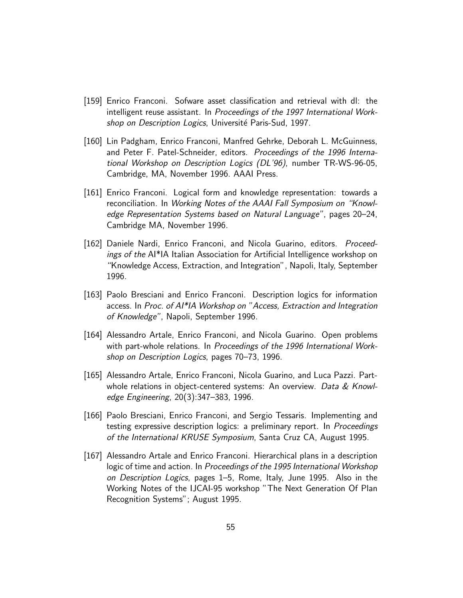- [159] Enrico Franconi. Sofware asset classification and retrieval with dl: the intelligent reuse assistant. In Proceedings of the 1997 International Workshop on Description Logics, Université Paris-Sud, 1997.
- [160] Lin Padgham, Enrico Franconi, Manfred Gehrke, Deborah L. McGuinness, and Peter F. Patel-Schneider, editors. Proceedings of the 1996 International Workshop on Description Logics (DL'96), number TR-WS-96-05, Cambridge, MA, November 1996. AAAI Press.
- [161] Enrico Franconi. Logical form and knowledge representation: towards a reconciliation. In Working Notes of the AAAI Fall Symposium on "Knowledge Representation Systems based on Natural Language", pages 20–24, Cambridge MA, November 1996.
- [162] Daniele Nardi, Enrico Franconi, and Nicola Guarino, editors. Proceedings of the AI\*IA Italian Association for Artificial Intelligence workshop on "Knowledge Access, Extraction, and Integration", Napoli, Italy, September 1996.
- [163] Paolo Bresciani and Enrico Franconi. Description logics for information access. In Proc. of AI\*IA Workshop on "Access, Extraction and Integration of Knowledge", Napoli, September 1996.
- [164] Alessandro Artale, Enrico Franconi, and Nicola Guarino. Open problems with part-whole relations. In Proceedings of the 1996 International Workshop on Description Logics, pages 70–73, 1996.
- [165] Alessandro Artale, Enrico Franconi, Nicola Guarino, and Luca Pazzi. Partwhole relations in object-centered systems: An overview. Data  $& Knowl$ edge Engineering, 20(3):347–383, 1996.
- [166] Paolo Bresciani, Enrico Franconi, and Sergio Tessaris. Implementing and testing expressive description logics: a preliminary report. In Proceedings of the International KRUSE Symposium, Santa Cruz CA, August 1995.
- [167] Alessandro Artale and Enrico Franconi. Hierarchical plans in a description logic of time and action. In Proceedings of the 1995 International Workshop on Description Logics, pages 1–5, Rome, Italy, June 1995. Also in the Working Notes of the IJCAI-95 workshop "The Next Generation Of Plan Recognition Systems"; August 1995.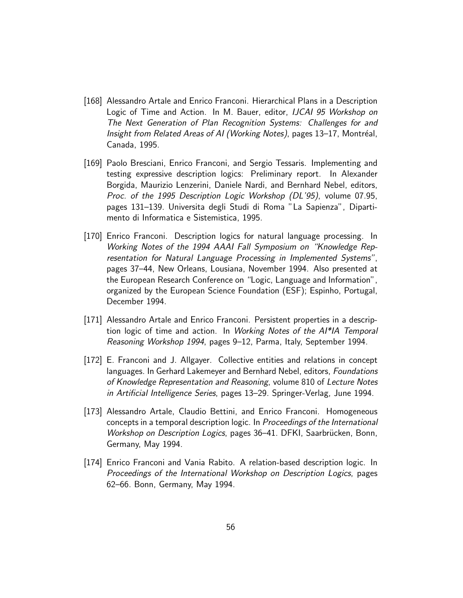- [168] Alessandro Artale and Enrico Franconi. Hierarchical Plans in a Description Logic of Time and Action. In M. Bauer, editor, IJCAI 95 Workshop on The Next Generation of Plan Recognition Systems: Challenges for and Insight from Related Areas of AI (Working Notes), pages 13–17, Montréal, Canada, 1995.
- [169] Paolo Bresciani, Enrico Franconi, and Sergio Tessaris. Implementing and testing expressive description logics: Preliminary report. In Alexander Borgida, Maurizio Lenzerini, Daniele Nardi, and Bernhard Nebel, editors, Proc. of the 1995 Description Logic Workshop (DL'95), volume 07.95, pages 131–139. Universita degli Studi di Roma "La Sapienza", Dipartimento di Informatica e Sistemistica, 1995.
- [170] Enrico Franconi. Description logics for natural language processing. In Working Notes of the 1994 AAAI Fall Symposium on "Knowledge Representation for Natural Language Processing in Implemented Systems", pages 37–44, New Orleans, Lousiana, November 1994. Also presented at the European Research Conference on "Logic, Language and Information", organized by the European Science Foundation (ESF); Espinho, Portugal, December 1994.
- [171] Alessandro Artale and Enrico Franconi. Persistent properties in a description logic of time and action. In Working Notes of the AI\*IA Temporal Reasoning Workshop 1994, pages 9–12, Parma, Italy, September 1994.
- [172] E. Franconi and J. Allgayer. Collective entities and relations in concept languages. In Gerhard Lakemeyer and Bernhard Nebel, editors, Foundations of Knowledge Representation and Reasoning, volume 810 of Lecture Notes in Artificial Intelligence Series, pages 13–29. Springer-Verlag, June 1994.
- [173] Alessandro Artale, Claudio Bettini, and Enrico Franconi. Homogeneous concepts in a temporal description logic. In Proceedings of the International Workshop on Description Logics, pages 36–41. DFKI, Saarbrücken, Bonn, Germany, May 1994.
- [174] Enrico Franconi and Vania Rabito. A relation-based description logic. In Proceedings of the International Workshop on Description Logics, pages 62–66. Bonn, Germany, May 1994.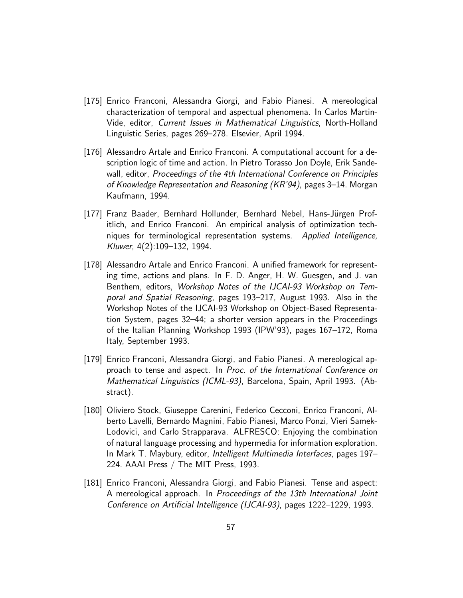- [175] Enrico Franconi, Alessandra Giorgi, and Fabio Pianesi. A mereological characterization of temporal and aspectual phenomena. In Carlos Martin-Vide, editor, Current Issues in Mathematical Linguistics, North-Holland Linguistic Series, pages 269–278. Elsevier, April 1994.
- [176] Alessandro Artale and Enrico Franconi. A computational account for a description logic of time and action. In Pietro Torasso Jon Doyle, Erik Sandewall, editor, Proceedings of the 4th International Conference on Principles of Knowledge Representation and Reasoning (KR'94), pages 3–14. Morgan Kaufmann, 1994.
- [177] Franz Baader, Bernhard Hollunder, Bernhard Nebel, Hans-Jürgen Profitlich, and Enrico Franconi. An empirical analysis of optimization techniques for terminological representation systems. Applied Intelligence, Kluwer, 4(2):109–132, 1994.
- [178] Alessandro Artale and Enrico Franconi. A unified framework for representing time, actions and plans. In F. D. Anger, H. W. Guesgen, and J. van Benthem, editors, Workshop Notes of the IJCAI-93 Workshop on Temporal and Spatial Reasoning, pages 193–217, August 1993. Also in the Workshop Notes of the IJCAI-93 Workshop on Object-Based Representation System, pages 32–44; a shorter version appears in the Proceedings of the Italian Planning Workshop 1993 (IPW'93), pages 167–172, Roma Italy, September 1993.
- [179] Enrico Franconi, Alessandra Giorgi, and Fabio Pianesi. A mereological approach to tense and aspect. In Proc. of the International Conference on Mathematical Linguistics (ICML-93), Barcelona, Spain, April 1993. (Abstract).
- [180] Oliviero Stock, Giuseppe Carenini, Federico Cecconi, Enrico Franconi, Alberto Lavelli, Bernardo Magnini, Fabio Pianesi, Marco Ponzi, Vieri Samek-Lodovici, and Carlo Strapparava. ALFRESCO: Enjoying the combination of natural language processing and hypermedia for information exploration. In Mark T. Maybury, editor, Intelligent Multimedia Interfaces, pages 197– 224. AAAI Press / The MIT Press, 1993.
- [181] Enrico Franconi, Alessandra Giorgi, and Fabio Pianesi. Tense and aspect: A mereological approach. In Proceedings of the 13th International Joint Conference on Artificial Intelligence (IJCAI-93), pages 1222–1229, 1993.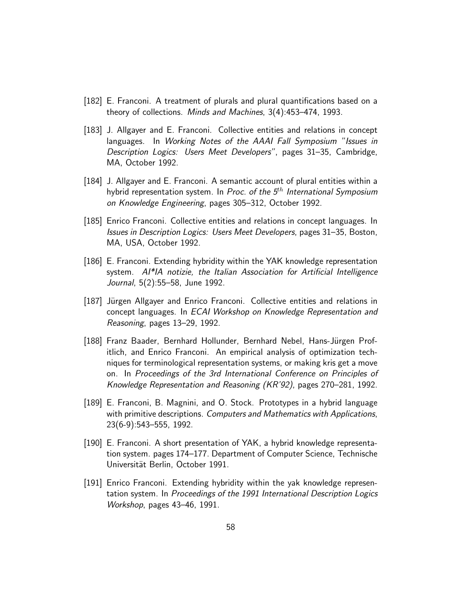- [182] E. Franconi. A treatment of plurals and plural quantifications based on a theory of collections. Minds and Machines, 3(4):453–474, 1993.
- [183] J. Allgayer and E. Franconi. Collective entities and relations in concept languages. In Working Notes of the AAAI Fall Symposium "Issues in Description Logics: Users Meet Developers", pages 31–35, Cambridge, MA, October 1992.
- [184] J. Allgayer and E. Franconi. A semantic account of plural entities within a hybrid representation system. In Proc. of the  $5<sup>th</sup>$  International Symposium on Knowledge Engineering, pages 305–312, October 1992.
- [185] Enrico Franconi. Collective entities and relations in concept languages. In Issues in Description Logics: Users Meet Developers, pages 31–35, Boston, MA, USA, October 1992.
- [186] E. Franconi. Extending hybridity within the YAK knowledge representation system. AI\*IA notizie, the Italian Association for Artificial Intelligence Journal, 5(2):55–58, June 1992.
- [187] Jürgen Allgayer and Enrico Franconi. Collective entities and relations in concept languages. In ECAI Workshop on Knowledge Representation and Reasoning, pages 13–29, 1992.
- [188] Franz Baader, Bernhard Hollunder, Bernhard Nebel, Hans-Jürgen Profitlich, and Enrico Franconi. An empirical analysis of optimization techniques for terminological representation systems, or making kris get a move on. In Proceedings of the 3rd International Conference on Principles of Knowledge Representation and Reasoning (KR'92), pages 270–281, 1992.
- [189] E. Franconi, B. Magnini, and O. Stock. Prototypes in a hybrid language with primitive descriptions. Computers and Mathematics with Applications, 23(6-9):543–555, 1992.
- [190] E. Franconi. A short presentation of YAK, a hybrid knowledge representation system. pages 174–177. Department of Computer Science, Technische Universität Berlin, October 1991.
- [191] Enrico Franconi. Extending hybridity within the yak knowledge representation system. In Proceedings of the 1991 International Description Logics Workshop, pages 43–46, 1991.